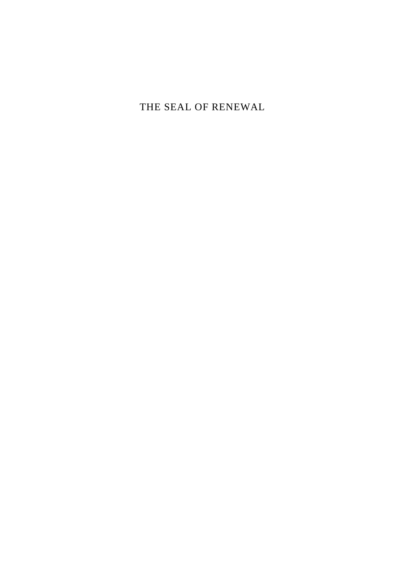THE SEAL OF RENEWAL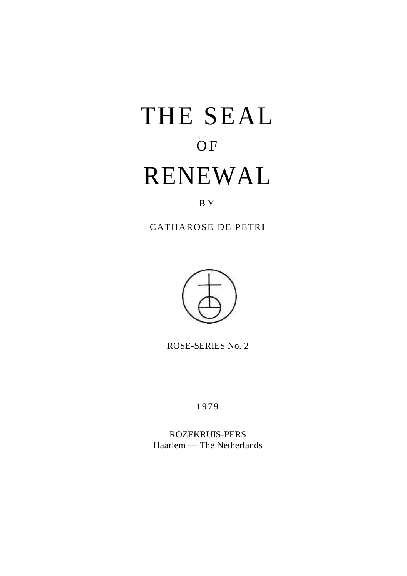# THE SEAL **OF** RENEWAL

## B Y

CATHAROSE DE PETRI



ROSE-SERIES No. 2

1979

ROZEKRUIS-PERS Haarlem — The Netherlands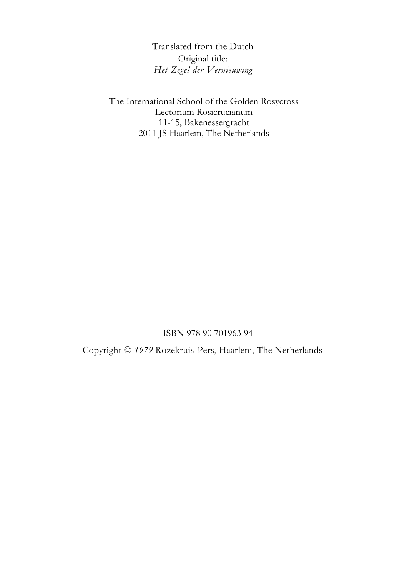Translated from the Dutch Original title: *Het Zegel der Vernieuwing*

The International School of the Golden Rosycross Lectorium Rosicrucianum 11-15, Bakenessergracht 2011 JS Haarlem, The Netherlands

ISBN 978 90 701963 94

Copyright © *1979* Rozekruis-Pers, Haarlem, The Netherlands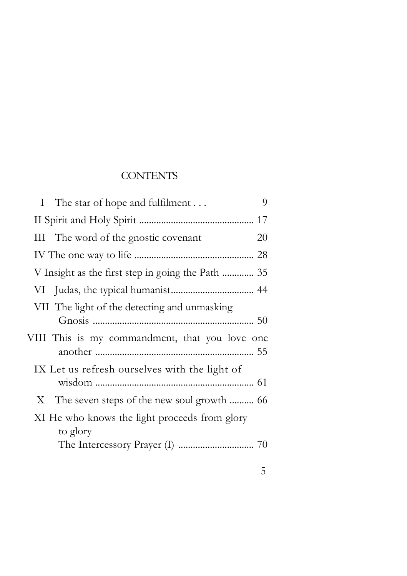## **CONTENTS**

| 9<br>I The star of hope and fulfilment                    |
|-----------------------------------------------------------|
|                                                           |
| III The word of the gnostic covenant<br>20                |
|                                                           |
|                                                           |
|                                                           |
| VII The light of the detecting and unmasking              |
|                                                           |
| VIII This is my commandment, that you love one            |
| IX Let us refresh ourselves with the light of             |
|                                                           |
|                                                           |
| XI He who knows the light proceeds from glory<br>to glory |
|                                                           |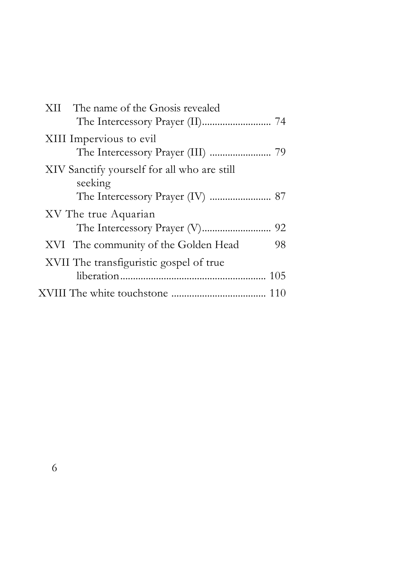| XII The name of the Gnosis revealed                    |
|--------------------------------------------------------|
| XIII Impervious to evil                                |
| XIV Sanctify yourself for all who are still<br>seeking |
| XV The true Aquarian                                   |
| XVI The community of the Golden Head<br>98             |
| XVII The transfiguristic gospel of true<br>105         |
|                                                        |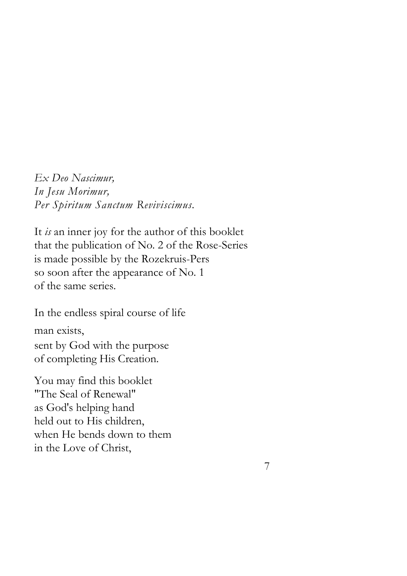*Ex Deo Nascimur, In Jesu Morimur, Per Spiritum Sanctum Reviviscimus.* 

It *is* an inner joy for the author of this booklet that the publication of No. 2 of the Rose-Series is made possible by the Rozekruis-Pers so soon after the appearance of No. 1 of the same series.

In the endless spiral course of life man exists, sent by God with the purpose of completing His Creation.

You may find this booklet "The Seal of Renewal" as God's helping hand held out to His children, when He bends down to them in the Love of Christ,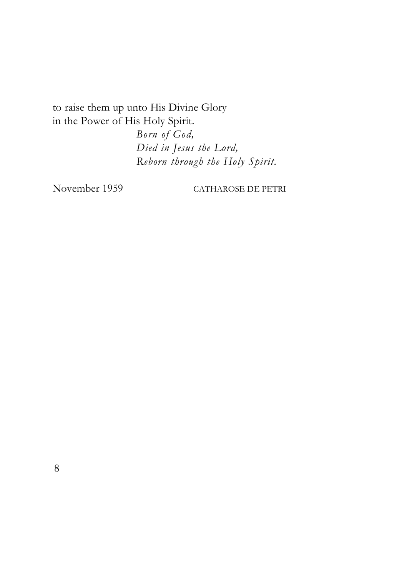to raise them up unto His Divine Glory in the Power of His Holy Spirit.

> *Born of God, Died in Jesus the Lord, Reborn through the Holy Spirit.*

November 1959 CATHAROSE DE PETRI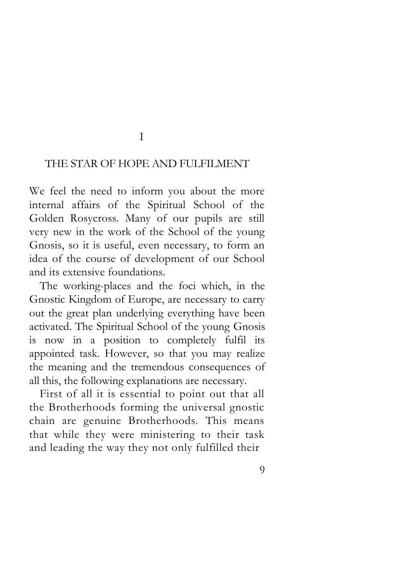## I

### THE STAR OF HOPE AND FULFILMENT

We feel the need to inform you about the more internal affairs of the Spiritual School of the Golden Rosycross. Many of our pupils are still very new in the work of the School of the young Gnosis, so it is useful, even necessary, to form an idea of the course of development of our School and its extensive foundations.

The working-places and the foci which, in the Gnostic Kingdom of Europe, are necessary to carry out the great plan underlying everything have been activated. The Spiritual School of the young Gnosis is now in a position to completely fulfil its appointed task. However, so that you may realize the meaning and the tremendous consequences of all this, the following explanations are necessary.

First of all it is essential to point out that all the Brotherhoods forming the universal gnostic chain are genuine Brotherhoods. This means that while they were ministering to their task and leading the way they not only fulfilled their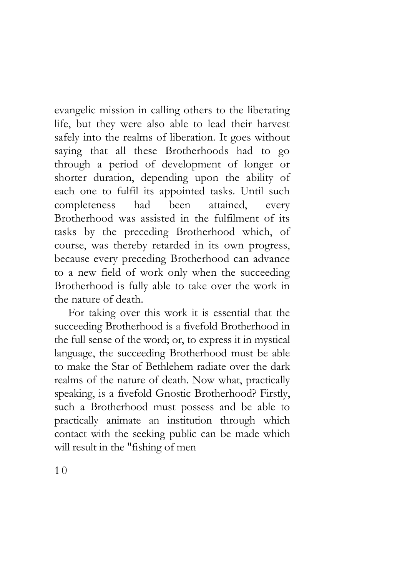evangelic mission in calling others to the liberating life, but they were also able to lead their harvest safely into the realms of liberation. It goes without saying that all these Brotherhoods had to go through a period of development of longer or shorter duration, depending upon the ability of each one to fulfil its appointed tasks. Until such completeness had been attained, every Brotherhood was assisted in the fulfilment of its tasks by the preceding Brotherhood which, of course, was thereby retarded in its own progress, because every preceding Brotherhood can advance to a new field of work only when the succeeding Brotherhood is fully able to take over the work in the nature of death.

For taking over this work it is essential that the succeeding Brotherhood is a fivefold Brotherhood in the full sense of the word; or, to express it in mystical language, the succeeding Brotherhood must be able to make the Star of Bethlehem radiate over the dark realms of the nature of death. Now what, practically speaking, is a fivefold Gnostic Brotherhood? Firstly, such a Brotherhood must possess and be able to practically animate an institution through which contact with the seeking public can be made which will result in the "fishing of men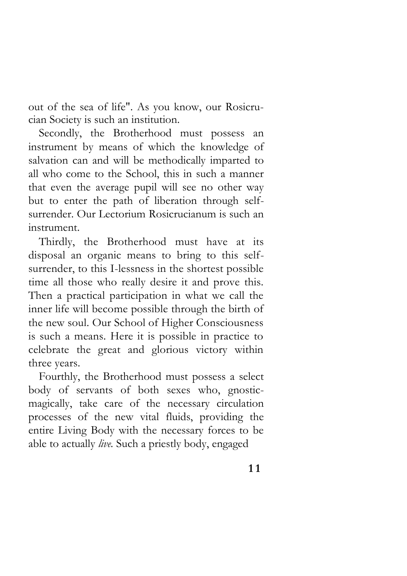out of the sea of life". As you know, our Rosicrucian Society is such an institution.

Secondly, the Brotherhood must possess an instrument by means of which the knowledge of salvation can and will be methodically imparted to all who come to the School, this in such a manner that even the average pupil will see no other way but to enter the path of liberation through selfsurrender. Our Lectorium Rosicrucianum is such an instrument.

Thirdly, the Brotherhood must have at its disposal an organic means to bring to this selfsurrender, to this I-lessness in the shortest possible time all those who really desire it and prove this. Then a practical participation in what we call the inner life will become possible through the birth of the new soul. Our School of Higher Consciousness is such a means. Here it is possible in practice to celebrate the great and glorious victory within three years.

Fourthly, the Brotherhood must possess a select body of servants of both sexes who, gnosticmagically, take care of the necessary circulation processes of the new vital fluids, providing the entire Living Body with the necessary forces to be able to actually *live.* Such a priestly body, engaged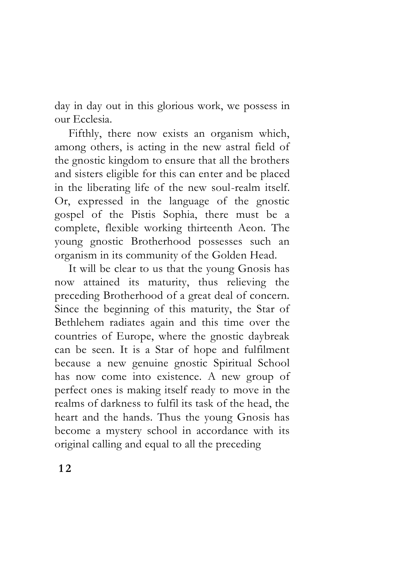day in day out in this glorious work, we possess in our Ecclesia.

Fifthly, there now exists an organism which, among others, is acting in the new astral field of the gnostic kingdom to ensure that all the brothers and sisters eligible for this can enter and be placed in the liberating life of the new soul-realm itself. Or, expressed in the language of the gnostic gospel of the Pistis Sophia, there must be a complete, flexible working thirteenth Aeon. The young gnostic Brotherhood possesses such an organism in its community of the Golden Head.

It will be clear to us that the young Gnosis has now attained its maturity, thus relieving the preceding Brotherhood of a great deal of concern. Since the beginning of this maturity, the Star of Bethlehem radiates again and this time over the countries of Europe, where the gnostic daybreak can be seen. It is a Star of hope and fulfilment because a new genuine gnostic Spiritual School has now come into existence. A new group of perfect ones is making itself ready to move in the realms of darkness to fulfil its task of the head, the heart and the hands. Thus the young Gnosis has become a mystery school in accordance with its original calling and equal to all the preceding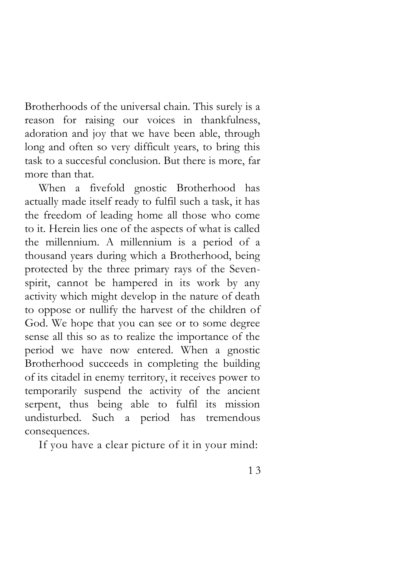Brotherhoods of the universal chain. This surely is a reason for raising our voices in thankfulness, adoration and joy that we have been able, through long and often so very difficult years, to bring this task to a succesful conclusion. But there is more, far more than that.

When a fivefold gnostic Brotherhood has actually made itself ready to fulfil such a task, it has the freedom of leading home all those who come to it. Herein lies one of the aspects of what is called the millennium. A millennium is a period of a thousand years during which a Brotherhood, being protected by the three primary rays of the Sevenspirit, cannot be hampered in its work by any activity which might develop in the nature of death to oppose or nullify the harvest of the children of God. We hope that you can see or to some degree sense all this so as to realize the importance of the period we have now entered. When a gnostic Brotherhood succeeds in completing the building of its citadel in enemy territory, it receives power to temporarily suspend the activity of the ancient serpent, thus being able to fulfil its mission undisturbed. Such a period has tremendous consequences.

If you have a clear picture of it in your mind: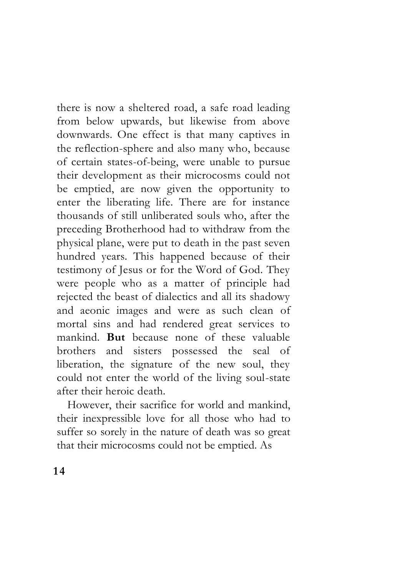there is now a sheltered road, a safe road leading from below upwards, but likewise from above downwards. One effect is that many captives in the reflection-sphere and also many who, because of certain states-of-being, were unable to pursue their development as their microcosms could not be emptied, are now given the opportunity to enter the liberating life. There are for instance thousands of still unliberated souls who, after the preceding Brotherhood had to withdraw from the physical plane, were put to death in the past seven hundred years. This happened because of their testimony of Jesus or for the Word of God. They were people who as a matter of principle had rejected the beast of dialectics and all its shadowy and aeonic images and were as such clean of mortal sins and had rendered great services to mankind. **But** because none of these valuable brothers and sisters possessed the seal of liberation, the signature of the new soul, they could not enter the world of the living soul-state after their heroic death.

However, their sacrifice for world and mankind, their inexpressible love for all those who had to suffer so sorely in the nature of death was so great that their microcosms could not be emptied. As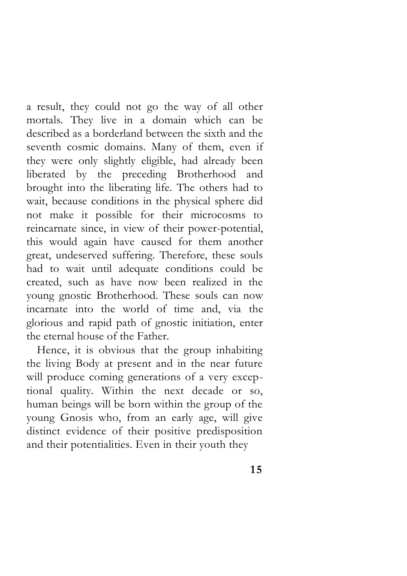a result, they could not go the way of all other mortals. They live in a domain which can be described as a borderland between the sixth and the seventh cosmic domains. Many of them, even if they were only slightly eligible, had already been liberated by the preceding Brotherhood and brought into the liberating life. The others had to wait, because conditions in the physical sphere did not make it possible for their microcosms to reincarnate since, in view of their power-potential, this would again have caused for them another great, undeserved suffering. Therefore, these souls had to wait until adequate conditions could be created, such as have now been realized in the young gnostic Brotherhood. These souls can now incarnate into the world of time and, via the glorious and rapid path of gnostic initiation, enter the eternal house of the Father.

Hence, it is obvious that the group inhabiting the living Body at present and in the near future will produce coming generations of a very exceptional quality. Within the next decade or so, human beings will be born within the group of the young Gnosis who, from an early age, will give distinct evidence of their positive predisposition and their potentialities. Even in their youth they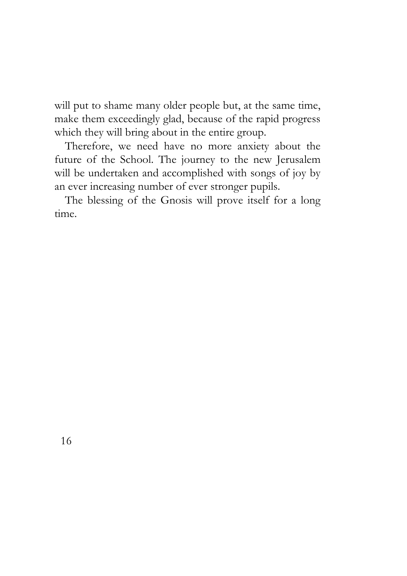will put to shame many older people but, at the same time, make them exceedingly glad, because of the rapid progress which they will bring about in the entire group.

Therefore, we need have no more anxiety about the future of the School. The journey to the new Jerusalem will be undertaken and accomplished with songs of joy by an ever increasing number of ever stronger pupils.

The blessing of the Gnosis will prove itself for a long time.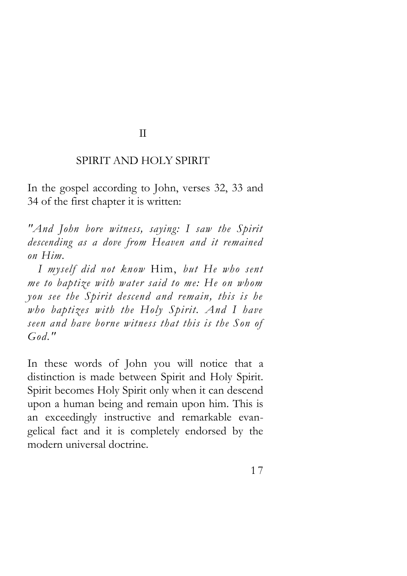#### II

### SPIRIT AND HOLY SPIRIT

In the gospel according to John, verses 32, 33 and 34 of the first chapter it is written:

*"And John bore witness, saying: I saw the Spirit descending as a dove from Heaven and it remained on Him.* 

*I myself did not know* Him, *but He who sent me to baptize with water said to me: He on whom you see the Spirit descend and remain, this is he who baptizes with the Holy Spirit. And I have seen and have borne witness that this is the Son of God."* 

In these words of John you will notice that a distinction is made between Spirit and Holy Spirit. Spirit becomes Holy Spirit only when it can descend upon a human being and remain upon him. This is an exceedingly instructive and remarkable evangelical fact and it is completely endorsed by the modern universal doctrine.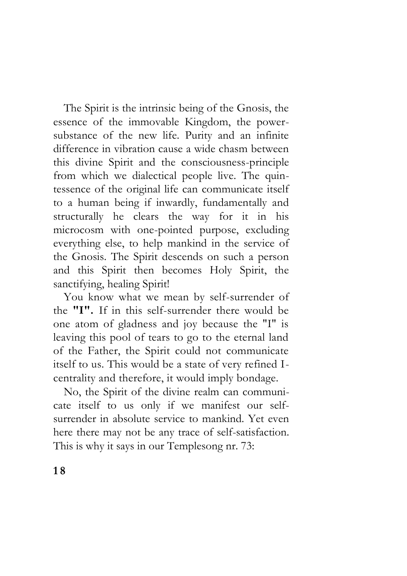The Spirit is the intrinsic being of the Gnosis, the essence of the immovable Kingdom, the powersubstance of the new life. Purity and an infinite difference in vibration cause a wide chasm between this divine Spirit and the consciousness-principle from which we dialectical people live. The quintessence of the original life can communicate itself to a human being if inwardly, fundamentally and structurally he clears the way for it in his microcosm with one-pointed purpose, excluding everything else, to help mankind in the service of the Gnosis. The Spirit descends on such a person and this Spirit then becomes Holy Spirit, the sanctifying, healing Spirit!

You know what we mean by self-surrender of the **"I".** If in this self-surrender there would be one atom of gladness and joy because the "I" is leaving this pool of tears to go to the eternal land of the Father, the Spirit could not communicate itself to us. This would be a state of very refined Icentrality and therefore, it would imply bondage.

No, the Spirit of the divine realm can communicate itself to us only if we manifest our selfsurrender in absolute service to mankind. Yet even here there may not be any trace of self-satisfaction. This is why it says in our Templesong nr. 73: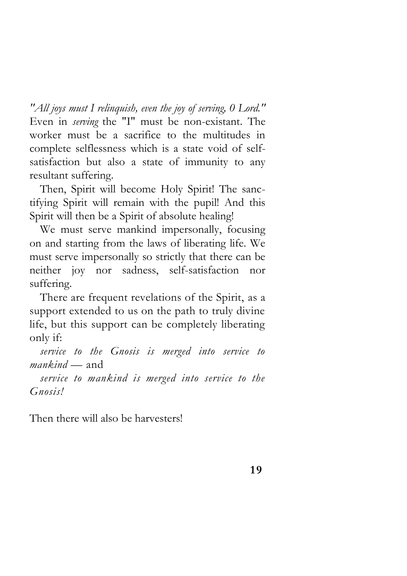*"All joys must I relinquish, even the joy of serving, 0 Lord."*  Even in *serving* the "I" must be non-existant. The worker must be a sacrifice to the multitudes in complete selflessness which is a state void of selfsatisfaction but also a state of immunity to any resultant suffering.

Then, Spirit will become Holy Spirit! The sanctifying Spirit will remain with the pupil! And this Spirit will then be a Spirit of absolute healing!

We must serve mankind impersonally, focusing on and starting from the laws of liberating life. We must serve impersonally so strictly that there can be neither joy nor sadness, self-satisfaction nor suffering.

There are frequent revelations of the Spirit, as a support extended to us on the path to truly divine life, but this support can be completely liberating only if:

*service to the Gnosis is merged into service to mankind —* and

*service to mankind is merged into service to the Gnosis!*

Then there will also be harvesters!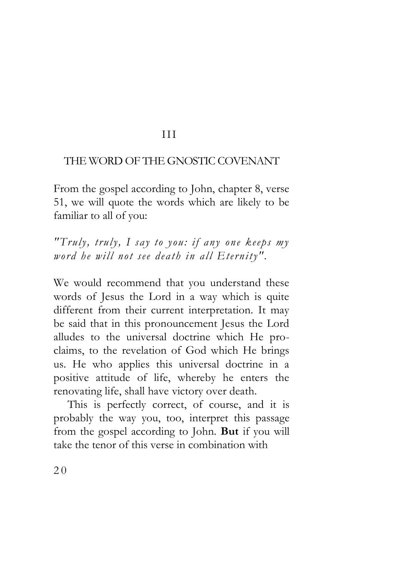## III

## THE WORD OF THE GNOSTIC COVENANT

From the gospel according to John, chapter 8, verse 51, we will quote the words which are likely to be familiar to all of you:

*"Truly, truly, I say to you: if any one keeps my word he will not see death in all Eternity".* 

We would recommend that you understand these words of Jesus the Lord in a way which is quite different from their current interpretation. It may be said that in this pronouncement Jesus the Lord alludes to the universal doctrine which He proclaims, to the revelation of God which He brings us. He who applies this universal doctrine in a positive attitude of life, whereby he enters the renovating life, shall have victory over death.

This is perfectly correct, of course, and it is probably the way you, too, interpret this passage from the gospel according to John. **But** if you will take the tenor of this verse in combination with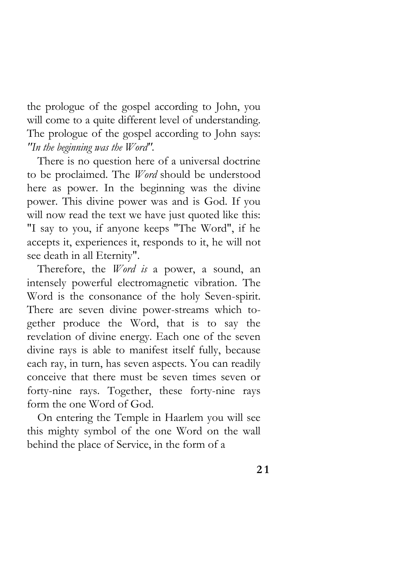the prologue of the gospel according to John, you will come to a quite different level of understanding. The prologue of the gospel according to John says: *"In the beginning was the Word".*

There is no question here of a universal doctrine to be proclaimed. The *Word* should be understood here as power. In the beginning was the divine power. This divine power was and is God. If you will now read the text we have just quoted like this: "I say to you, if anyone keeps "The Word", if he accepts it, experiences it, responds to it, he will not see death in all Eternity".

Therefore, the *Word is* a power, a sound, an intensely powerful electromagnetic vibration. The Word is the consonance of the holy Seven-spirit. There are seven divine power-streams which together produce the Word, that is to say the revelation of divine energy. Each one of the seven divine rays is able to manifest itself fully, because each ray, in turn, has seven aspects. You can readily conceive that there must be seven times seven or forty-nine rays. Together, these forty-nine rays form the one Word of God.

On entering the Temple in Haarlem you will see this mighty symbol of the one Word on the wall behind the place of Service, in the form of a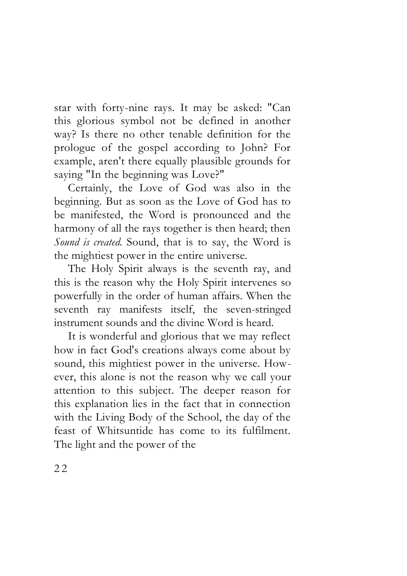star with forty-nine rays. It may be asked: "Can this glorious symbol not be defined in another way? Is there no other tenable definition for the prologue of the gospel according to John? For example, aren't there equally plausible grounds for saying "In the beginning was Love?"

Certainly, the Love of God was also in the beginning. But as soon as the Love of God has to be manifested, the Word is pronounced and the harmony of all the rays together is then heard; then *Sound is created.* Sound, that is to say, the Word is the mightiest power in the entire universe.

The Holy Spirit always is the seventh ray, and this is the reason why the Holy Spirit intervenes so powerfully in the order of human affairs. When the seventh ray manifests itself, the seven-stringed instrument sounds and the divine Word is heard.

It is wonderful and glorious that we may reflect how in fact God's creations always come about by sound, this mightiest power in the universe. However, this alone is not the reason why we call your attention to this subject. The deeper reason for this explanation lies in the fact that in connection with the Living Body of the School, the day of the feast of Whitsuntide has come to its fulfilment. The light and the power of the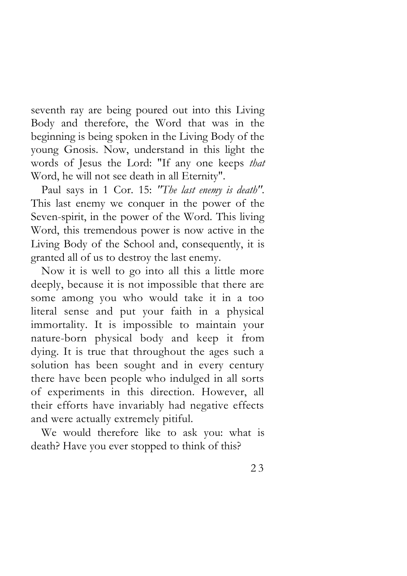seventh ray are being poured out into this Living Body and therefore, the Word that was in the beginning is being spoken in the Living Body of the young Gnosis. Now, understand in this light the words of Jesus the Lord: "If any one keeps *that*  Word, he will not see death in all Eternity".

Paul says in 1 Cor. 15: *"The last enemy is death".*  This last enemy we conquer in the power of the Seven-spirit, in the power of the Word. This living Word, this tremendous power is now active in the Living Body of the School and, consequently, it is granted all of us to destroy the last enemy.

Now it is well to go into all this a little more deeply, because it is not impossible that there are some among you who would take it in a too literal sense and put your faith in a physical immortality. It is impossible to maintain your nature-born physical body and keep it from dying. It is true that throughout the ages such a solution has been sought and in every century there have been people who indulged in all sorts of experiments in this direction. However, all their efforts have invariably had negative effects and were actually extremely pitiful.

We would therefore like to ask you: what is death? Have you ever stopped to think of this?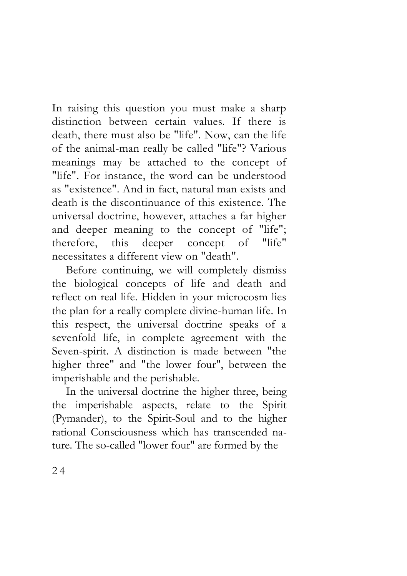In raising this question you must make a sharp distinction between certain values. If there is death, there must also be "life". Now, can the life of the animal-man really be called "life"? Various meanings may be attached to the concept of "life". For instance, the word can be understood as "existence". And in fact, natural man exists and death is the discontinuance of this existence. The universal doctrine, however, attaches a far higher and deeper meaning to the concept of "life"; therefore, this deeper concept of "life" necessitates a different view on "death".

Before continuing, we will completely dismiss the biological concepts of life and death and reflect on real life. Hidden in your microcosm lies the plan for a really complete divine-human life. In this respect, the universal doctrine speaks of a sevenfold life, in complete agreement with the Seven-spirit. A distinction is made between "the higher three" and "the lower four", between the imperishable and the perishable.

In the universal doctrine the higher three, being the imperishable aspects, relate to the Spirit (Pymander), to the Spirit-Soul and to the higher rational Consciousness which has transcended nature. The so-called "lower four" are formed by the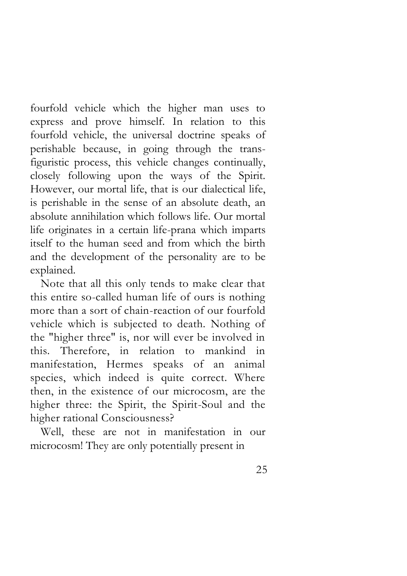fourfold vehicle which the higher man uses to express and prove himself. In relation to this fourfold vehicle, the universal doctrine speaks of perishable because, in going through the transfiguristic process, this vehicle changes continually, closely following upon the ways of the Spirit. However, our mortal life, that is our dialectical life, is perishable in the sense of an absolute death, an absolute annihilation which follows life. Our mortal life originates in a certain life-prana which imparts itself to the human seed and from which the birth and the development of the personality are to be explained.

Note that all this only tends to make clear that this entire so-called human life of ours is nothing more than a sort of chain-reaction of our fourfold vehicle which is subjected to death. Nothing of the "higher three" is, nor will ever be involved in this. Therefore, in relation to mankind in manifestation, Hermes speaks of an animal species, which indeed is quite correct. Where then, in the existence of our microcosm, are the higher three: the Spirit, the Spirit-Soul and the higher rational Consciousness?

Well, these are not in manifestation in our microcosm! They are only potentially present in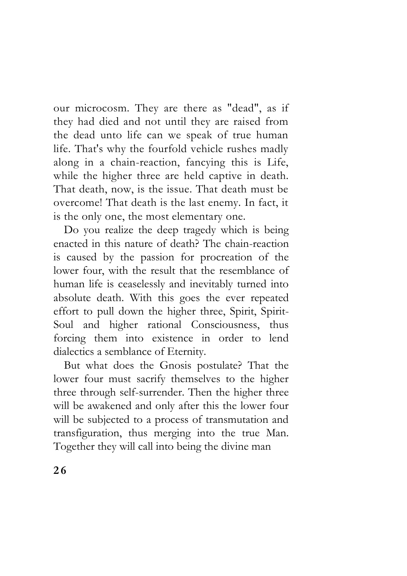our microcosm. They are there as "dead", as if they had died and not until they are raised from the dead unto life can we speak of true human life. That's why the fourfold vehicle rushes madly along in a chain-reaction, fancying this is Life, while the higher three are held captive in death. That death, now, is the issue. That death must be overcome! That death is the last enemy. In fact, it is the only one, the most elementary one.

Do you realize the deep tragedy which is being enacted in this nature of death? The chain-reaction is caused by the passion for procreation of the lower four, with the result that the resemblance of human life is ceaselessly and inevitably turned into absolute death. With this goes the ever repeated effort to pull down the higher three, Spirit, Spirit-Soul and higher rational Consciousness, thus forcing them into existence in order to lend dialectics a semblance of Eternity.

But what does the Gnosis postulate? That the lower four must sacrify themselves to the higher three through self-surrender. Then the higher three will be awakened and only after this the lower four will be subjected to a process of transmutation and transfiguration, thus merging into the true Man. Together they will call into being the divine man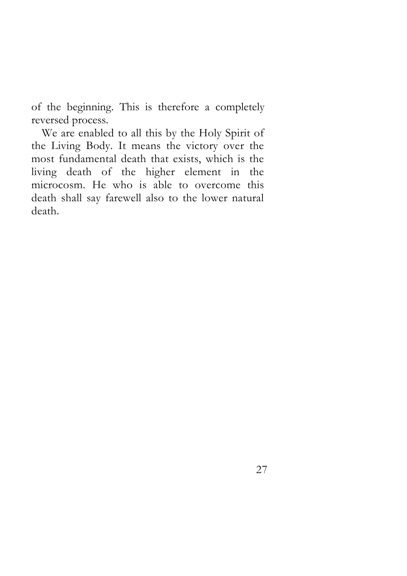of the beginning. This is therefore a completely reversed process.

We are enabled to all this by the Holy Spirit of the Living Body. It means the victory over the most fundamental death that exists, which is the living death of the higher element in the microcosm. He who is able to overcome this death shall say farewell also to the lower natural death.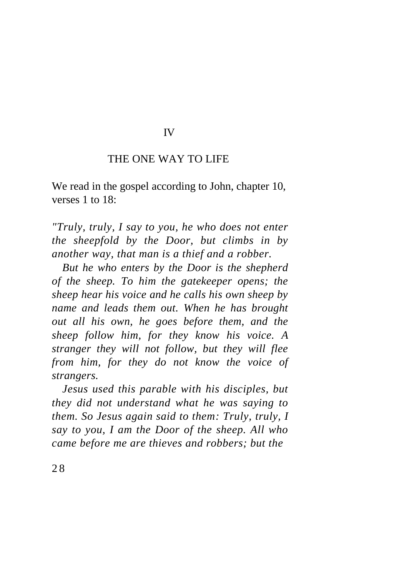### IV

## THE ONE WAY TO LIFE

We read in the gospel according to John, chapter 10, verses 1 to 18:

*"Truly, truly, I say to you, he who does not enter the sheepfold by the Door, but climbs in by another way, that man is a thief and a robber.* 

*But he who enters by the Door is the shepherd of the sheep. To him the gatekeeper opens; the sheep hear his voice and he calls his own sheep by name and leads them out. When he has brought out all his own, he goes before them, and the sheep follow him, for they know his voice. A stranger they will not follow, but they will flee from him, for they do not know the voice of strangers.* 

*Jesus used this parable with his disciples, but they did not understand what he was saying to them. So Jesus again said to them: Truly, truly, I say to you, I am the Door of the sheep. All who came before me are thieves and robbers; but the*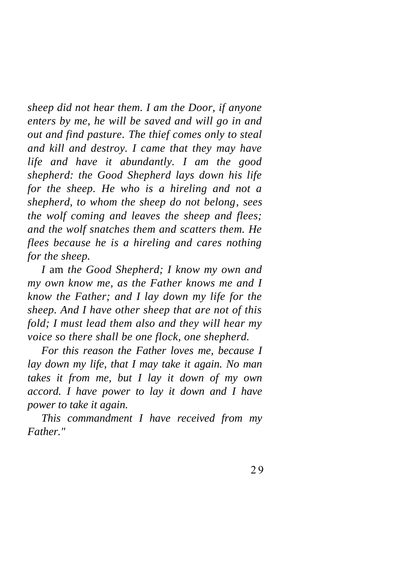*sheep did not hear them. I am the Door, if anyone enters by me, he will be saved and will go in and out and find pasture. The thief comes only to steal and kill and destroy. I came that they may have life and have it abundantly. I am the good shepherd: the Good Shepherd lays down his life for the sheep. He who is a hireling and not a shepherd, to whom the sheep do not belong, sees the wolf coming and leaves the sheep and flees; and the wolf snatches them and scatters them. He flees because he is a hireling and cares nothing for the sheep.* 

*I* am *the Good Shepherd; I know my own and my own know me, as the Father knows me and I know the Father; and I lay down my life for the sheep. And I have other sheep that are not of this fold; I must lead them also and they will hear my voice so there shall be one flock, one shepherd.* 

*For this reason the Father loves me, because I lay down my life, that I may take it again. No man takes it from me, but I lay it down of my own accord. I have power to lay it down and I have power to take it again.* 

*This commandment I have received from my Father."*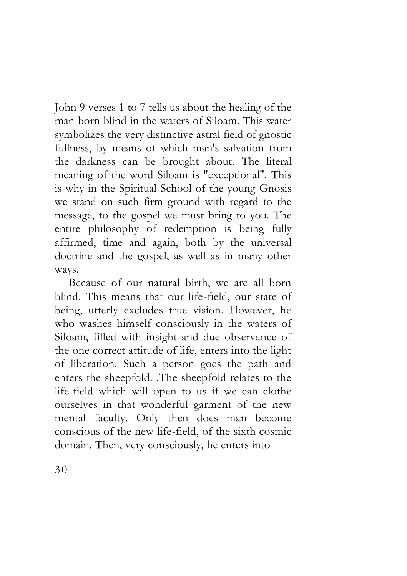John 9 verses 1 to 7 tells us about the healing of the man born blind in the waters of Siloam. This water symbolizes the very distinctive astral field of gnostic fullness, by means of which man's salvation from the darkness can be brought about. The literal meaning of the word Siloam is "exceptional". This is why in the Spiritual School of the young Gnosis we stand on such firm ground with regard to the message, to the gospel we must bring to you. The entire philosophy of redemption is being fully affirmed, time and again, both by the universal doctrine and the gospel, as well as in many other ways.

Because of our natural birth, we are all born blind. This means that our life-field, our state of being, utterly excludes true vision. However, he who washes himself consciously in the waters of Siloam, filled with insight and due observance of the one correct attitude of life, enters into the light of liberation. Such a person goes the path and enters the sheepfold. .The sheepfold relates to the life-field which will open to us if we can clothe ourselves in that wonderful garment of the new mental faculty. Only then does man become conscious of the new life-field, of the sixth cosmic domain. Then, very consciously, he enters into

30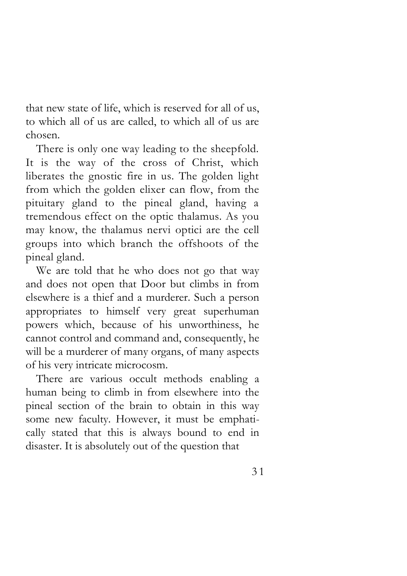that new state of life, which is reserved for all of us, to which all of us are called, to which all of us are chosen.

There is only one way leading to the sheepfold. It is the way of the cross of Christ, which liberates the gnostic fire in us. The golden light from which the golden elixer can flow, from the pituitary gland to the pineal gland, having a tremendous effect on the optic thalamus. As you may know, the thalamus nervi optici are the cell groups into which branch the offshoots of the pineal gland.

We are told that he who does not go that way and does not open that Door but climbs in from elsewhere is a thief and a murderer. Such a person appropriates to himself very great superhuman powers which, because of his unworthiness, he cannot control and command and, consequently, he will be a murderer of many organs, of many aspects of his very intricate microcosm.

There are various occult methods enabling a human being to climb in from elsewhere into the pineal section of the brain to obtain in this way some new faculty. However, it must be emphatically stated that this is always bound to end in disaster. It is absolutely out of the question that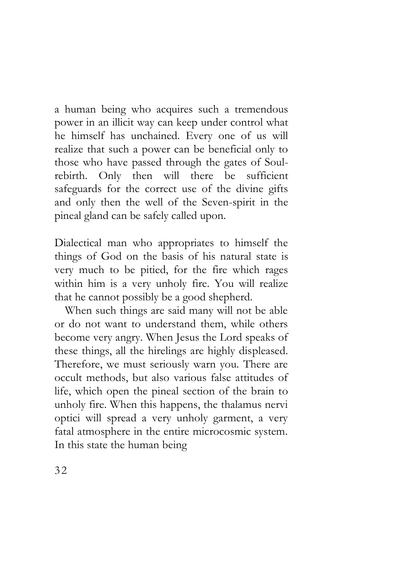a human being who acquires such a tremendous power in an illicit way can keep under control what he himself has unchained. Every one of us will realize that such a power can be beneficial only to those who have passed through the gates of Soulrebirth. Only then will there be sufficient safeguards for the correct use of the divine gifts and only then the well of the Seven-spirit in the pineal gland can be safely called upon.

Dialectical man who appropriates to himself the things of God on the basis of his natural state is very much to be pitied, for the fire which rages within him is a very unholy fire. You will realize that he cannot possibly be a good shepherd.

When such things are said many will not be able or do not want to understand them, while others become very angry. When Jesus the Lord speaks of these things, all the hirelings are highly displeased. Therefore, we must seriously warn you. There are occult methods, but also various false attitudes of life, which open the pineal section of the brain to unholy fire. When this happens, the thalamus nervi optici will spread a very unholy garment, a very fatal atmosphere in the entire microcosmic system. In this state the human being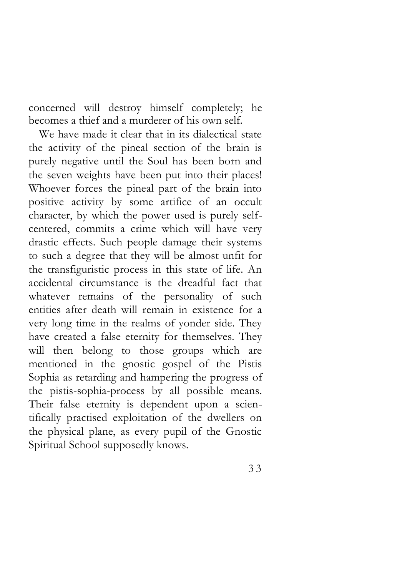concerned will destroy himself completely; he becomes a thief and a murderer of his own self.

We have made it clear that in its dialectical state the activity of the pineal section of the brain is purely negative until the Soul has been born and the seven weights have been put into their places! Whoever forces the pineal part of the brain into positive activity by some artifice of an occult character, by which the power used is purely selfcentered, commits a crime which will have very drastic effects. Such people damage their systems to such a degree that they will be almost unfit for the transfiguristic process in this state of life. An accidental circumstance is the dreadful fact that whatever remains of the personality of such entities after death will remain in existence for a very long time in the realms of yonder side. They have created a false eternity for themselves. They will then belong to those groups which are mentioned in the gnostic gospel of the Pistis Sophia as retarding and hampering the progress of the pistis-sophia-process by all possible means. Their false eternity is dependent upon a scientifically practised exploitation of the dwellers on the physical plane, as every pupil of the Gnostic Spiritual School supposedly knows.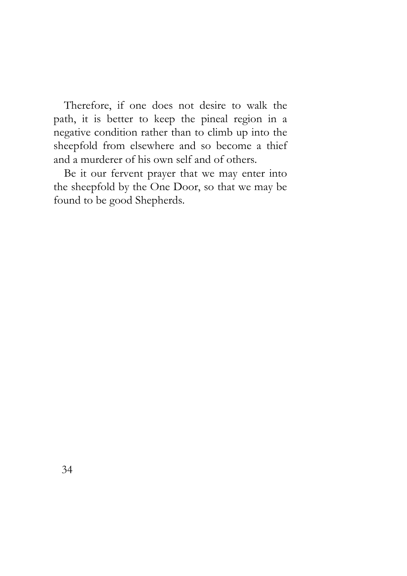Therefore, if one does not desire to walk the path, it is better to keep the pineal region in a negative condition rather than to climb up into the sheepfold from elsewhere and so become a thief and a murderer of his own self and of others.

Be it our fervent prayer that we may enter into the sheepfold by the One Door, so that we may be found to be good Shepherds.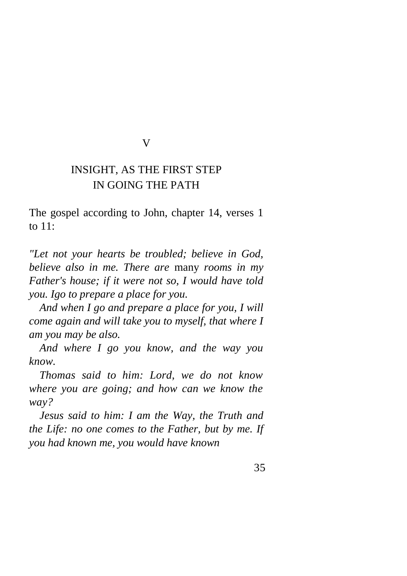#### V

## INSIGHT, AS THE FIRST STEP IN GOING THE PATH

The gospel according to John, chapter 14, verses 1 to 11:

*"Let not your hearts be troubled; believe in God, believe also in me. There are* many *rooms in my Father's house; if it were not so, I would have told you. Igo to prepare a place for you.* 

*And when I go and prepare a place for you, I will come again and will take you to myself, that where I am you may be also.* 

*And where I go you know, and the way you know.* 

*Thomas said to him: Lord, we do not know where you are going; and how can we know the way?* 

*Jesus said to him: I am the Way, the Truth and the Life: no one comes to the Father, but by me. If you had known me, you would have known*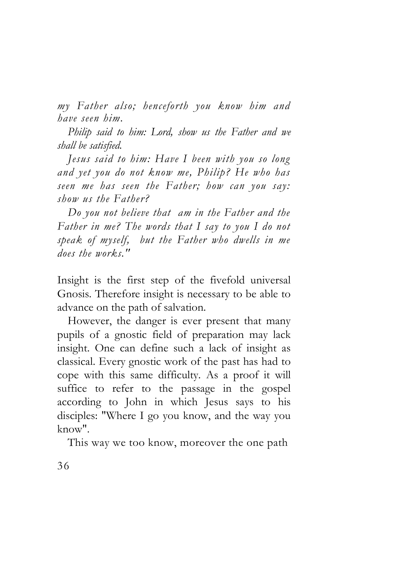*my Father also; henceforth you know him and have seen him.* 

*Philip said to him: Lord, show us the Father and we shall be satisfied.* 

*Jesus said to him: Have I been with you so long and yet you do not know me, Philip? He who has seen me has seen the Father; how can you say: show us the Father?* 

*Do you not believe that am in the Father and the Father in me? The words that I say to you I do not speak of myself, but the Father who dwells in me does the works."* 

Insight is the first step of the fivefold universal Gnosis. Therefore insight is necessary to be able to advance on the path of salvation.

However, the danger is ever present that many pupils of a gnostic field of preparation may lack insight. One can define such a lack of insight as classical. Every gnostic work of the past has had to cope with this same difficulty. As a proof it will suffice to refer to the passage in the gospel according to John in which Jesus says to his disciples: "Where I go you know, and the way you know".

This way we too know, moreover the one path

36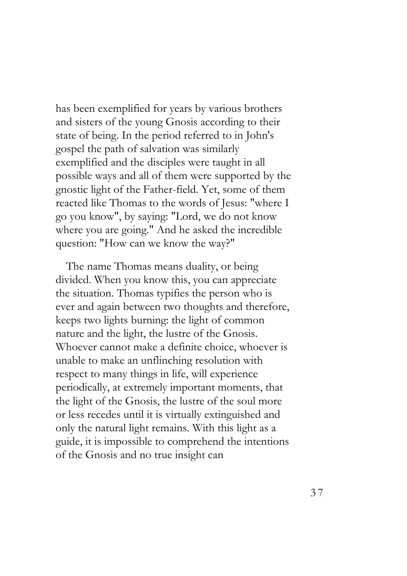has been exemplified for years by various brothers and sisters of the young Gnosis according to their state of being. In the period referred to in John's gospel the path of salvation was similarly exemplified and the disciples were taught in all possible ways and all of them were supported by the gnostic light of the Father-field. Yet, some of them reacted like Thomas to the words of Jesus: "where I go you know", by saying: "Lord, we do not know where you are going." And he asked the incredible question: "How can we know the way?"

The name Thomas means duality, or being divided. When you know this, you can appreciate the situation. Thomas typifies the person who is ever and again between two thoughts and therefore, keeps two lights burning: the light of common nature and the light, the lustre of the Gnosis. Whoever cannot make a definite choice, whoever is unable to make an unflinching resolution with respect to many things in life, will experience periodically, at extremely important moments, that the light of the Gnosis, the lustre of the soul more or less recedes until it is virtually extinguished and only the natural light remains. With this light as a guide, it is impossible to comprehend the intentions of the Gnosis and no true insight can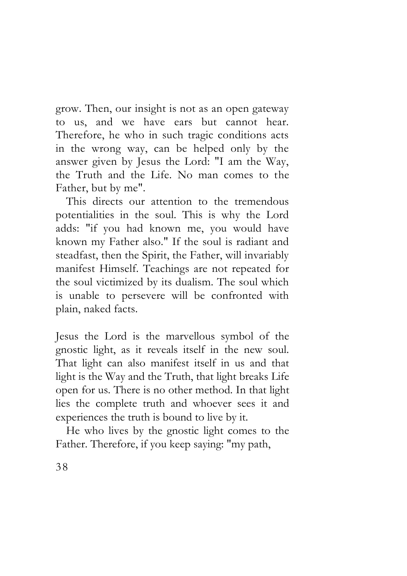grow. Then, our insight is not as an open gateway to us, and we have ears but cannot hear. Therefore, he who in such tragic conditions acts in the wrong way, can be helped only by the answer given by Jesus the Lord: "I am the Way, the Truth and the Life. No man comes to the Father, but by me".

This directs our attention to the tremendous potentialities in the soul. This is why the Lord adds: "if you had known me, you would have known my Father also." If the soul is radiant and steadfast, then the Spirit, the Father, will invariably manifest Himself. Teachings are not repeated for the soul victimized by its dualism. The soul which is unable to persevere will be confronted with plain, naked facts.

Jesus the Lord is the marvellous symbol of the gnostic light, as it reveals itself in the new soul. That light can also manifest itself in us and that light is the Way and the Truth, that light breaks Life open for us. There is no other method. In that light lies the complete truth and whoever sees it and experiences the truth is bound to live by it.

He who lives by the gnostic light comes to the Father. Therefore, if you keep saying: "my path,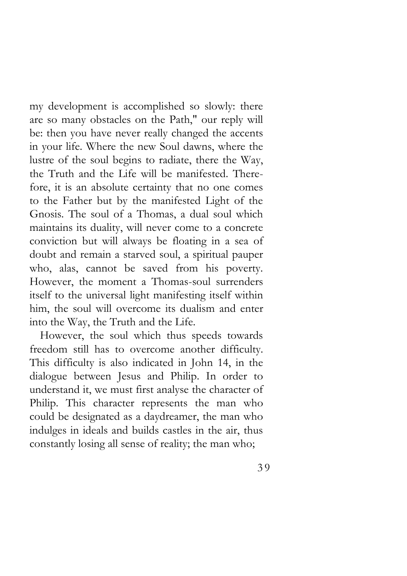my development is accomplished so slowly: there are so many obstacles on the Path," our reply will be: then you have never really changed the accents in your life. Where the new Soul dawns, where the lustre of the soul begins to radiate, there the Way, the Truth and the Life will be manifested. Therefore, it is an absolute certainty that no one comes to the Father but by the manifested Light of the Gnosis. The soul of a Thomas, a dual soul which maintains its duality, will never come to a concrete conviction but will always be floating in a sea of doubt and remain a starved soul, a spiritual pauper who, alas, cannot be saved from his poverty. However, the moment a Thomas-soul surrenders itself to the universal light manifesting itself within him, the soul will overcome its dualism and enter into the Way, the Truth and the Life.

However, the soul which thus speeds towards freedom still has to overcome another difficulty. This difficulty is also indicated in John 14, in the dialogue between Jesus and Philip. In order to understand it, we must first analyse the character of Philip. This character represents the man who could be designated as a daydreamer, the man who indulges in ideals and builds castles in the air, thus constantly losing all sense of reality; the man who;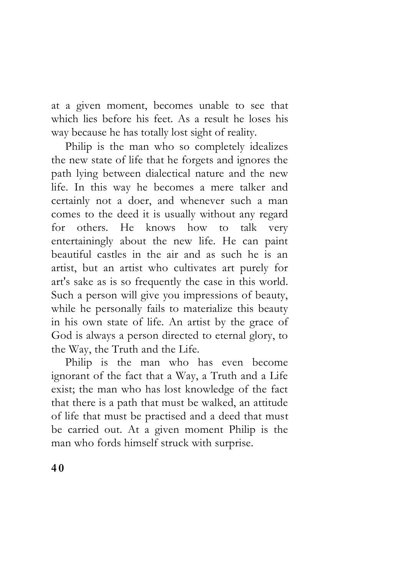at a given moment, becomes unable to see that which lies before his feet. As a result he loses his way because he has totally lost sight of reality.

Philip is the man who so completely idealizes the new state of life that he forgets and ignores the path lying between dialectical nature and the new life. In this way he becomes a mere talker and certainly not a doer, and whenever such a man comes to the deed it is usually without any regard for others. He knows how to talk very entertainingly about the new life. He can paint beautiful castles in the air and as such he is an artist, but an artist who cultivates art purely for art's sake as is so frequently the case in this world. Such a person will give you impressions of beauty, while he personally fails to materialize this beauty in his own state of life. An artist by the grace of God is always a person directed to eternal glory, to the Way, the Truth and the Life.

Philip is the man who has even become ignorant of the fact that a Way, a Truth and a Life exist; the man who has lost knowledge of the fact that there is a path that must be walked, an attitude of life that must be practised and a deed that must be carried out. At a given moment Philip is the man who fords himself struck with surprise.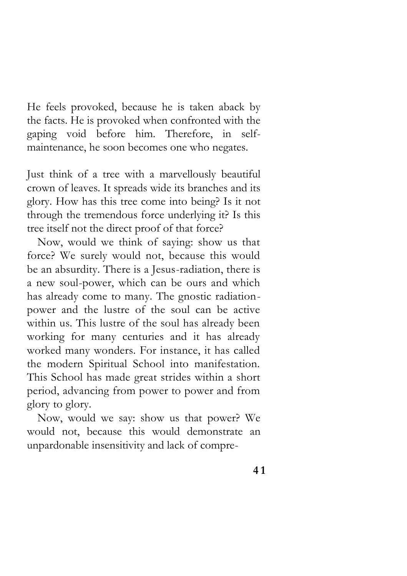He feels provoked, because he is taken aback by the facts. He is provoked when confronted with the gaping void before him. Therefore, in selfmaintenance, he soon becomes one who negates.

Just think of a tree with a marvellously beautiful crown of leaves. It spreads wide its branches and its glory. How has this tree come into being? Is it not through the tremendous force underlying it? Is this tree itself not the direct proof of that force?

Now, would we think of saying: show us that force? We surely would not, because this would be an absurdity. There is a Jesus-radiation, there is a new soul-power, which can be ours and which has already come to many. The gnostic radiationpower and the lustre of the soul can be active within us. This lustre of the soul has already been working for many centuries and it has already worked many wonders. For instance, it has called the modern Spiritual School into manifestation. This School has made great strides within a short period, advancing from power to power and from glory to glory.

Now, would we say: show us that power? We would not, because this would demonstrate an unpardonable insensitivity and lack of compre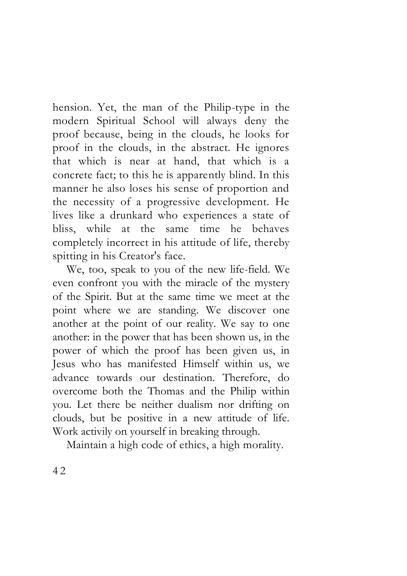hension. Yet, the man of the Philip-type in the modern Spiritual School will always deny the proof because, being in the clouds, he looks for proof in the clouds, in the abstract. He ignores that which is near at hand, that which is a concrete fact; to this he is apparently blind. In this manner he also loses his sense of proportion and the necessity of a progressive development. He lives like a drunkard who experiences a state of bliss, while at the same time he behaves completely incorrect in his attitude of life, thereby spitting in his Creator's face.

We, too, speak to you of the new life-field. We even confront you with the miracle of the mystery of the Spirit. But at the same time we meet at the point where we are standing. We discover one another at the point of our reality. We say to one another: in the power that has been shown us, in the power of which the proof has been given us, in Jesus who has manifested Himself within us, we advance towards our destination. Therefore, do overcome both the Thomas and the Philip within you. Let there be neither dualism nor drifting on clouds, but be positive in a new attitude of life. Work activily on yourself in breaking through.

Maintain a high code of ethics, a high morality.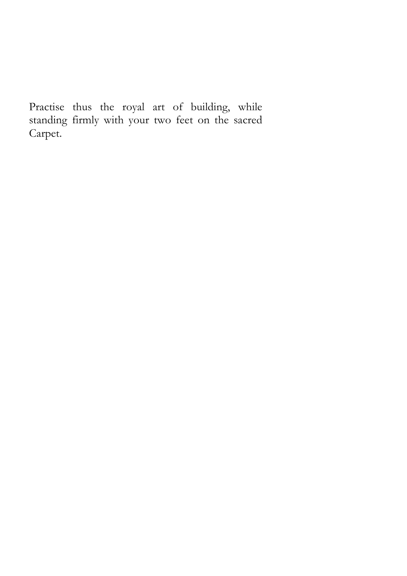Practise thus the royal art of building, while standing firmly with your two feet on the sacred Carpet.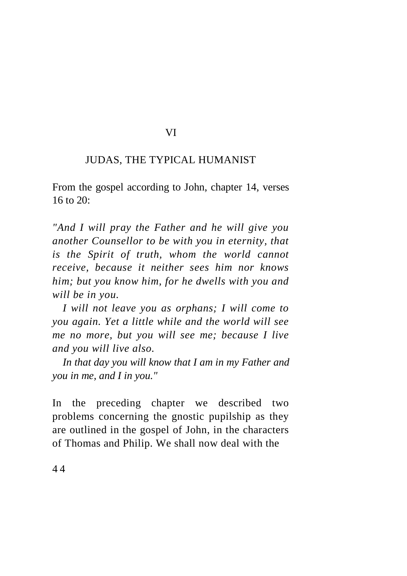# VI

#### JUDAS, THE TYPICAL HUMANIST

From the gospel according to John, chapter 14, verses  $16$  to  $20$ .

*"And I will pray the Father and he will give you another Counsellor to be with you in eternity, that is the Spirit of truth, whom the world cannot receive, because it neither sees him nor knows him; but you know him, for he dwells with you and will be in you.*

*I will not leave you as orphans; I will come to you again. Yet a little while and the world will see me no more, but you will see me; because I live and you will live also.* 

*In that day you will know that I am in my Father and you in me, and I in you."* 

In the preceding chapter we described two problems concerning the gnostic pupilship as they are outlined in the gospel of John, in the characters of Thomas and Philip. We shall now deal with the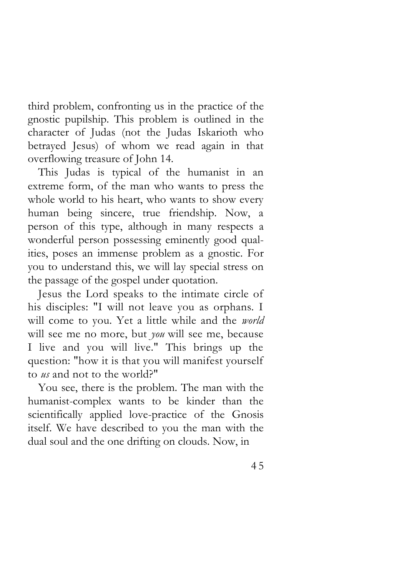third problem, confronting us in the practice of the gnostic pupilship. This problem is outlined in the character of Judas (not the Judas Iskarioth who betrayed Jesus) of whom we read again in that overflowing treasure of John 14.

This Judas is typical of the humanist in an extreme form, of the man who wants to press the whole world to his heart, who wants to show every human being sincere, true friendship. Now, a person of this type, although in many respects a wonderful person possessing eminently good qualities, poses an immense problem as a gnostic. For you to understand this, we will lay special stress on the passage of the gospel under quotation.

Jesus the Lord speaks to the intimate circle of his disciples: "I will not leave you as orphans. I will come to you. Yet a little while and the *world*  will see me no more, but *you* will see me, because I live and you will live." This brings up the question: "how it is that you will manifest yourself to *us* and not to the world?"

You see, there is the problem. The man with the humanist-complex wants to be kinder than the scientifically applied love-practice of the Gnosis itself. We have described to you the man with the dual soul and the one drifting on clouds. Now, in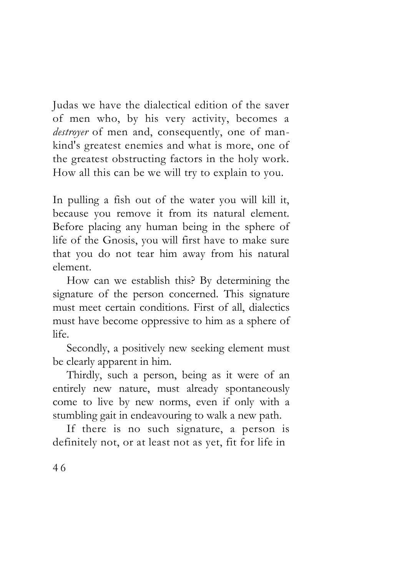Judas we have the dialectical edition of the saver of men who, by his very activity, becomes a *destroyer* of men and, consequently, one of mankind's greatest enemies and what is more, one of the greatest obstructing factors in the holy work. How all this can be we will try to explain to you.

In pulling a fish out of the water you will kill it, because you remove it from its natural element. Before placing any human being in the sphere of life of the Gnosis, you will first have to make sure that you do not tear him away from his natural element.

How can we establish this? By determining the signature of the person concerned. This signature must meet certain conditions. First of all, dialectics must have become oppressive to him as a sphere of life.

Secondly, a positively new seeking element must be clearly apparent in him.

Thirdly, such a person, being as it were of an entirely new nature, must already spontaneously come to live by new norms, even if only with a stumbling gait in endeavouring to walk a new path.

If there is no such signature, a person is definitely not, or at least not as yet, fit for life in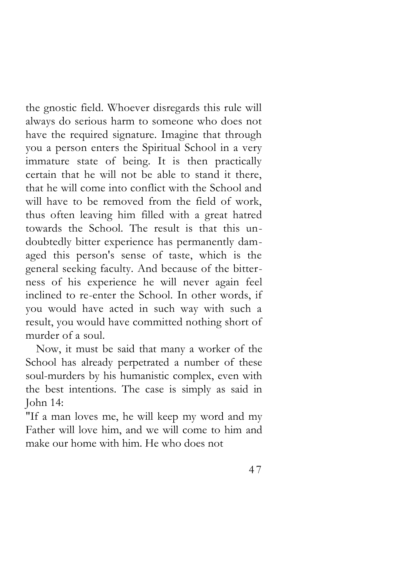the gnostic field. Whoever disregards this rule will always do serious harm to someone who does not have the required signature. Imagine that through you a person enters the Spiritual School in a very immature state of being. It is then practically certain that he will not be able to stand it there, that he will come into conflict with the School and will have to be removed from the field of work, thus often leaving him filled with a great hatred towards the School. The result is that this undoubtedly bitter experience has permanently damaged this person's sense of taste, which is the general seeking faculty. And because of the bitterness of his experience he will never again feel inclined to re-enter the School. In other words, if you would have acted in such way with such a result, you would have committed nothing short of murder of a soul.

Now, it must be said that many a worker of the School has already perpetrated a number of these soul-murders by his humanistic complex, even with the best intentions. The case is simply as said in John 14:

"If a man loves me, he will keep my word and my Father will love him, and we will come to him and make our home with him. He who does not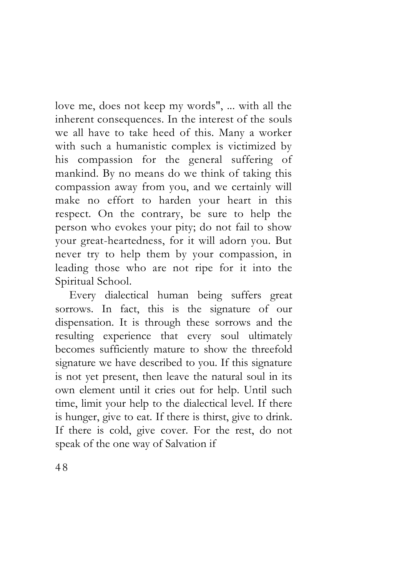love me, does not keep my words", ... with all the inherent consequences. In the interest of the souls we all have to take heed of this. Many a worker with such a humanistic complex is victimized by his compassion for the general suffering of mankind. By no means do we think of taking this compassion away from you, and we certainly will make no effort to harden your heart in this respect. On the contrary, be sure to help the person who evokes your pity; do not fail to show your great-heartedness, for it will adorn you. But never try to help them by your compassion, in leading those who are not ripe for it into the Spiritual School.

Every dialectical human being suffers great sorrows. In fact, this is the signature of our dispensation. It is through these sorrows and the resulting experience that every soul ultimately becomes sufficiently mature to show the threefold signature we have described to you. If this signature is not yet present, then leave the natural soul in its own element until it cries out for help. Until such time, limit your help to the dialectical level. If there is hunger, give to eat. If there is thirst, give to drink. If there is cold, give cover. For the rest, do not speak of the one way of Salvation if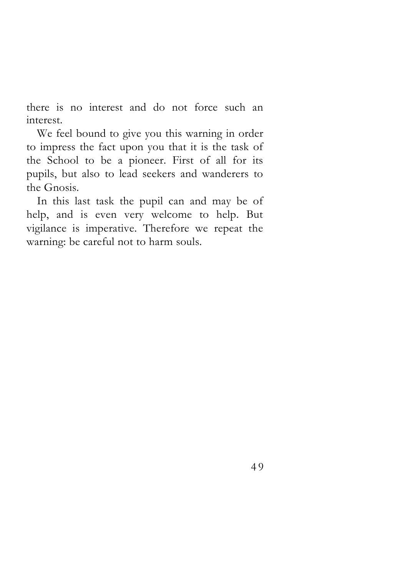there is no interest and do not force such an interest.

We feel bound to give you this warning in order to impress the fact upon you that it is the task of the School to be a pioneer. First of all for its pupils, but also to lead seekers and wanderers to the Gnosis.

In this last task the pupil can and may be of help, and is even very welcome to help. But vigilance is imperative. Therefore we repeat the warning: be careful not to harm souls.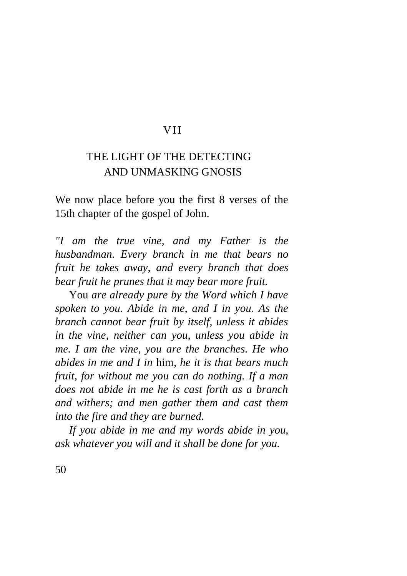#### VII

## THE LIGHT OF THE DETECTING AND UNMASKING GNOSIS

We now place before you the first 8 verses of the 15th chapter of the gospel of John.

*"I am the true vine, and my Father is the husbandman. Every branch in me that bears no fruit he takes away, and every branch that does bear fruit he prunes that it may bear more fruit.* 

You *are already pure by the Word which I have spoken to you. Abide in me, and I in you. As the branch cannot bear fruit by itself, unless it abides in the vine, neither can you, unless you abide in me. I am the vine, you are the branches. He who abides in me and I in* him, *he it is that bears much fruit, for without me you can do nothing. If a man does not abide in me he is cast forth as a branch and withers; and men gather them and cast them into the fire and they are burned.*

*If you abide in me and my words abide in you, ask whatever you will and it shall be done for you.*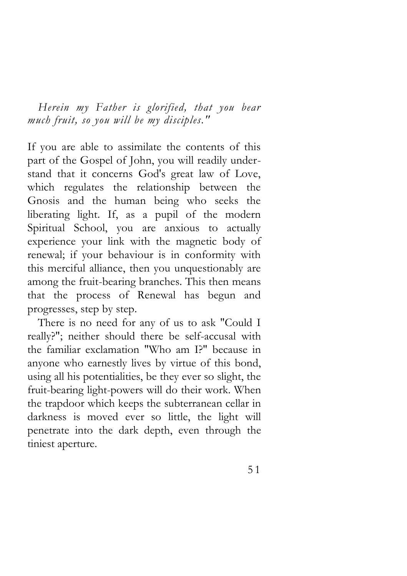*Herein my Father is glorified, that you bear much fruit, so you will be my disciples."* 

If you are able to assimilate the contents of this part of the Gospel of John, you will readily understand that it concerns God's great law of Love, which regulates the relationship between the Gnosis and the human being who seeks the liberating light. If, as a pupil of the modern Spiritual School, you are anxious to actually experience your link with the magnetic body of renewal; if your behaviour is in conformity with this merciful alliance, then you unquestionably are among the fruit-bearing branches. This then means that the process of Renewal has begun and progresses, step by step.

There is no need for any of us to ask "Could I really?"; neither should there be self-accusal with the familiar exclamation "Who am I?" because in anyone who earnestly lives by virtue of this bond, using all his potentialities, be they ever so slight, the fruit-bearing light-powers will do their work. When the trapdoor which keeps the subterranean cellar in darkness is moved ever so little, the light will penetrate into the dark depth, even through the tiniest aperture.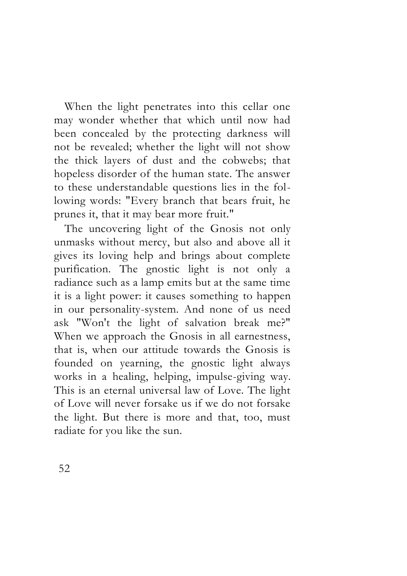When the light penetrates into this cellar one may wonder whether that which until now had been concealed by the protecting darkness will not be revealed; whether the light will not show the thick layers of dust and the cobwebs; that hopeless disorder of the human state. The answer to these understandable questions lies in the following words: "Every branch that bears fruit, he prunes it, that it may bear more fruit."

The uncovering light of the Gnosis not only unmasks without mercy, but also and above all it gives its loving help and brings about complete purification. The gnostic light is not only a radiance such as a lamp emits but at the same time it is a light power: it causes something to happen in our personality-system. And none of us need ask "Won't the light of salvation break me?" When we approach the Gnosis in all earnestness, that is, when our attitude towards the Gnosis is founded on yearning, the gnostic light always works in a healing, helping, impulse-giving way. This is an eternal universal law of Love. The light of Love will never forsake us if we do not forsake the light. But there is more and that, too, must radiate for you like the sun.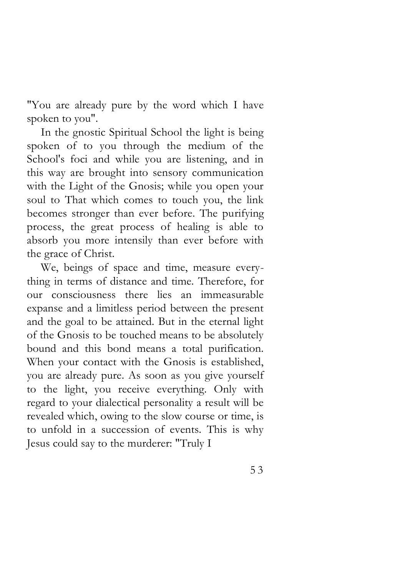"You are already pure by the word which I have spoken to you".

In the gnostic Spiritual School the light is being spoken of to you through the medium of the School's foci and while you are listening, and in this way are brought into sensory communication with the Light of the Gnosis; while you open your soul to That which comes to touch you, the link becomes stronger than ever before. The purifying process, the great process of healing is able to absorb you more intensily than ever before with the grace of Christ.

We, beings of space and time, measure everything in terms of distance and time. Therefore, for our consciousness there lies an immeasurable expanse and a limitless period between the present and the goal to be attained. But in the eternal light of the Gnosis to be touched means to be absolutely bound and this bond means a total purification. When your contact with the Gnosis is established, you are already pure. As soon as you give yourself to the light, you receive everything. Only with regard to your dialectical personality a result will be revealed which, owing to the slow course or time, is to unfold in a succession of events. This is why Jesus could say to the murderer: "Truly I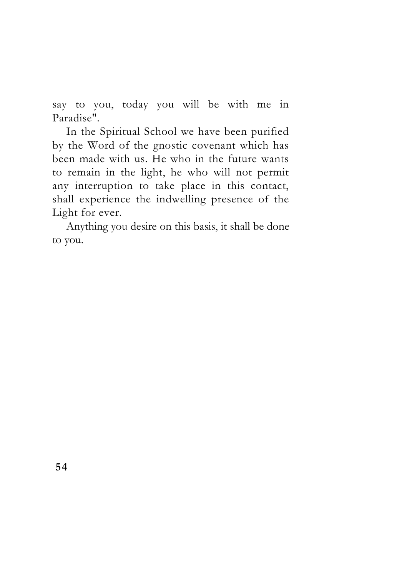say to you, today you will be with me in Paradise".

In the Spiritual School we have been purified by the Word of the gnostic covenant which has been made with us. He who in the future wants to remain in the light, he who will not permit any interruption to take place in this contact, shall experience the indwelling presence of the Light for ever.

Anything you desire on this basis, it shall be done to you.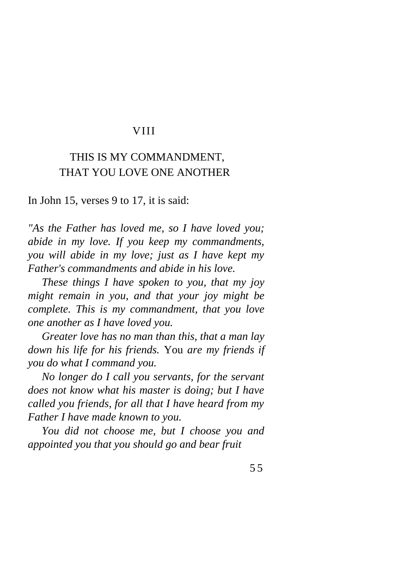#### VIII

## THIS IS MY COMMANDMENT, THAT YOU LOVE ONE ANOTHER

In John 15, verses 9 to 17, it is said:

*"As the Father has loved me, so I have loved you; abide in my love. If you keep my commandments, you will abide in my love; just as I have kept my Father's commandments and abide in his love.* 

*These things I have spoken to you, that my joy might remain in you, and that your joy might be complete. This is my commandment, that you love one another as I have loved you.* 

*Greater love has no man than this, that a man lay down his life for his friends.* You *are my friends if you do what I command you.* 

*No longer do I call you servants, for the servant does not know what his master is doing; but I have called you friends, for all that I have heard from my Father I have made known to you.* 

*You did not choose me, but I choose you and appointed you that you should go and bear fruit*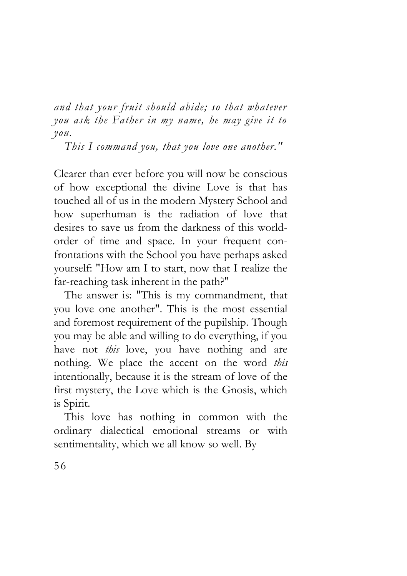*and that your fruit should abide; so that whatever you ask the Father in my name, he may give it to you.* 

*This I command you, that you love one another."* 

Clearer than ever before you will now be conscious of how exceptional the divine Love is that has touched all of us in the modern Mystery School and how superhuman is the radiation of love that desires to save us from the darkness of this worldorder of time and space. In your frequent confrontations with the School you have perhaps asked yourself: "How am I to start, now that I realize the far-reaching task inherent in the path?"

The answer is: "This is my commandment, that you love one another". This is the most essential and foremost requirement of the pupilship. Though you may be able and willing to do everything, if you have not *this* love, you have nothing and are nothing. We place the accent on the word *this*  intentionally, because it is the stream of love of the first mystery, the Love which is the Gnosis, which is Spirit.

This love has nothing in common with the ordinary dialectical emotional streams or with sentimentality, which we all know so well. By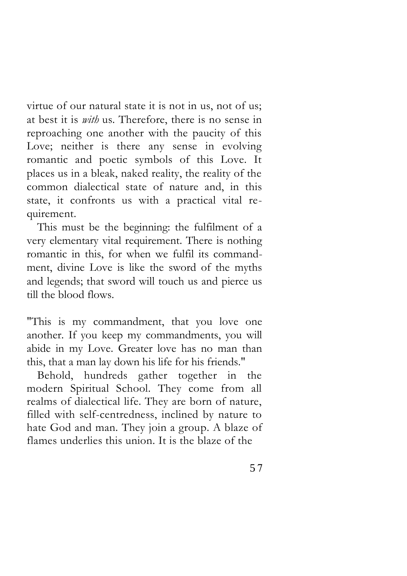virtue of our natural state it is not in us, not of us; at best it is *with* us. Therefore, there is no sense in reproaching one another with the paucity of this Love; neither is there any sense in evolving romantic and poetic symbols of this Love. It places us in a bleak, naked reality, the reality of the common dialectical state of nature and, in this state, it confronts us with a practical vital requirement.

This must be the beginning: the fulfilment of a very elementary vital requirement. There is nothing romantic in this, for when we fulfil its commandment, divine Love is like the sword of the myths and legends; that sword will touch us and pierce us till the blood flows.

"This is my commandment, that you love one another. If you keep my commandments, you will abide in my Love. Greater love has no man than this, that a man lay down his life for his friends."

Behold, hundreds gather together in the modern Spiritual School. They come from all realms of dialectical life. They are born of nature, filled with self-centredness, inclined by nature to hate God and man. They join a group. A blaze of flames underlies this union. It is the blaze of the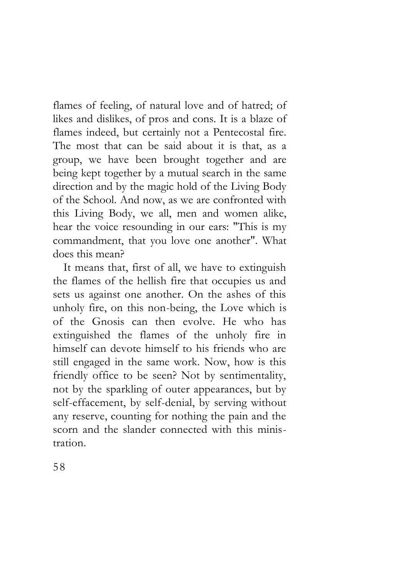flames of feeling, of natural love and of hatred; of likes and dislikes, of pros and cons. It is a blaze of flames indeed, but certainly not a Pentecostal fire. The most that can be said about it is that, as a group, we have been brought together and are being kept together by a mutual search in the same direction and by the magic hold of the Living Body of the School. And now, as we are confronted with this Living Body, we all, men and women alike, hear the voice resounding in our ears: "This is my commandment, that you love one another". What does this mean?

It means that, first of all, we have to extinguish the flames of the hellish fire that occupies us and sets us against one another. On the ashes of this unholy fire, on this non-being, the Love which is of the Gnosis can then evolve. He who has extinguished the flames of the unholy fire in himself can devote himself to his friends who are still engaged in the same work. Now, how is this friendly office to be seen? Not by sentimentality, not by the sparkling of outer appearances, but by self-effacement, by self-denial, by serving without any reserve, counting for nothing the pain and the scorn and the slander connected with this ministration.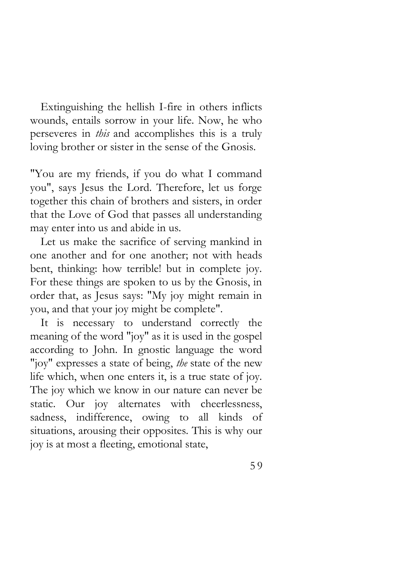Extinguishing the hellish I-fire in others inflicts wounds, entails sorrow in your life. Now, he who perseveres in *this* and accomplishes this is a truly loving brother or sister in the sense of the Gnosis.

"You are my friends, if you do what I command you", says Jesus the Lord. Therefore, let us forge together this chain of brothers and sisters, in order that the Love of God that passes all understanding may enter into us and abide in us.

Let us make the sacrifice of serving mankind in one another and for one another; not with heads bent, thinking: how terrible! but in complete joy. For these things are spoken to us by the Gnosis, in order that, as Jesus says: "My joy might remain in you, and that your joy might be complete".

It is necessary to understand correctly the meaning of the word "joy" as it is used in the gospel according to John. In gnostic language the word "joy" expresses a state of being, *the* state of the new life which, when one enters it, is a true state of joy. The joy which we know in our nature can never be static. Our joy alternates with cheerlessness, sadness, indifference, owing to all kinds of situations, arousing their opposites. This is why our joy is at most a fleeting, emotional state,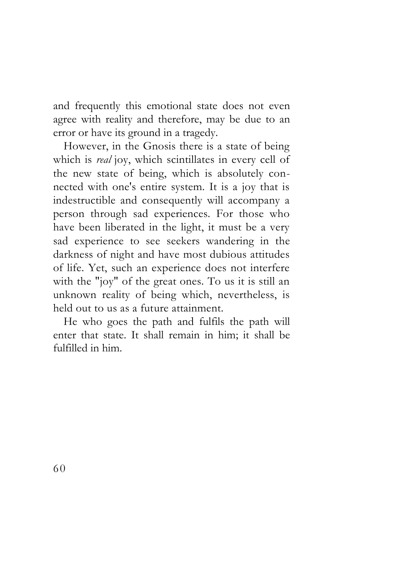and frequently this emotional state does not even agree with reality and therefore, may be due to an error or have its ground in a tragedy.

However, in the Gnosis there is a state of being which is *real* joy, which scintillates in every cell of the new state of being, which is absolutely connected with one's entire system. It is a joy that is indestructible and consequently will accompany a person through sad experiences. For those who have been liberated in the light, it must be a very sad experience to see seekers wandering in the darkness of night and have most dubious attitudes of life. Yet, such an experience does not interfere with the "joy" of the great ones. To us it is still an unknown reality of being which, nevertheless, is held out to us as a future attainment.

He who goes the path and fulfils the path will enter that state. It shall remain in him; it shall be fulfilled in him.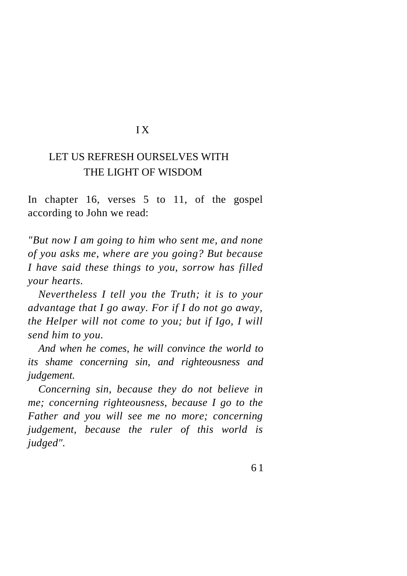#### I X

## LET US REFRESH OURSELVES WITH THE LIGHT OF WISDOM

In chapter 16, verses 5 to 11, of the gospel according to John we read:

*"But now I am going to him who sent me, and none of you asks me, where are you going? But because I have said these things to you, sorrow has filled your hearts.* 

*Nevertheless I tell you the Truth; it is to your advantage that I go away. For if I do not go away, the Helper will not come to you; but if Igo, I will send him to you.* 

*And when he comes, he will convince the world to its shame concerning sin, and righteousness and judgement.* 

*Concerning sin, because they do not believe in me; concerning righteousness, because I go to the Father and you will see me no more; concerning judgement, because the ruler of this world is judged".*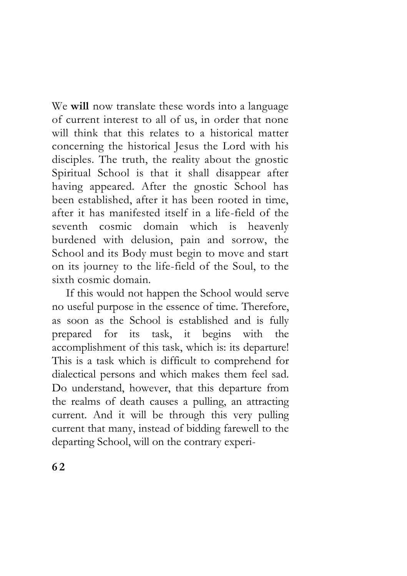We **will** now translate these words into a language of current interest to all of us, in order that none will think that this relates to a historical matter concerning the historical Jesus the Lord with his disciples. The truth, the reality about the gnostic Spiritual School is that it shall disappear after having appeared. After the gnostic School has been established, after it has been rooted in time, after it has manifested itself in a life-field of the seventh cosmic domain which is heavenly burdened with delusion, pain and sorrow, the School and its Body must begin to move and start on its journey to the life-field of the Soul, to the sixth cosmic domain.

If this would not happen the School would serve no useful purpose in the essence of time. Therefore, as soon as the School is established and is fully prepared for its task, it begins with the accomplishment of this task, which is: its departure! This is a task which is difficult to comprehend for dialectical persons and which makes them feel sad. Do understand, however, that this departure from the realms of death causes a pulling, an attracting current. And it will be through this very pulling current that many, instead of bidding farewell to the departing School, will on the contrary experi-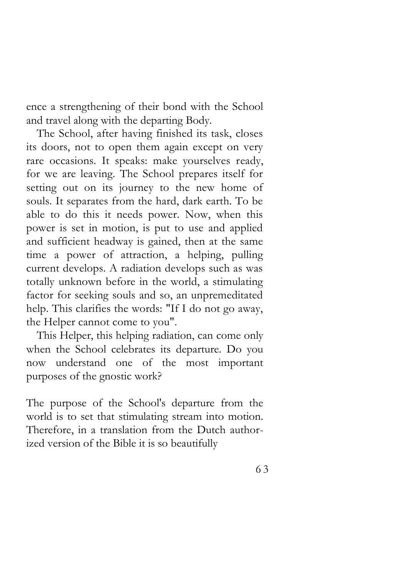ence a strengthening of their bond with the School and travel along with the departing Body.

The School, after having finished its task, closes its doors, not to open them again except on very rare occasions. It speaks: make yourselves ready, for we are leaving. The School prepares itself for setting out on its journey to the new home of souls. It separates from the hard, dark earth. To be able to do this it needs power. Now, when this power is set in motion, is put to use and applied and sufficient headway is gained, then at the same time a power of attraction, a helping, pulling current develops. A radiation develops such as was totally unknown before in the world, a stimulating factor for seeking souls and so, an unpremeditated help. This clarifies the words: "If I do not go away, the Helper cannot come to you".

This Helper, this helping radiation, can come only when the School celebrates its departure. Do you now understand one of the most important purposes of the gnostic work?

The purpose of the School's departure from the world is to set that stimulating stream into motion. Therefore, in a translation from the Dutch authorized version of the Bible it is so beautifully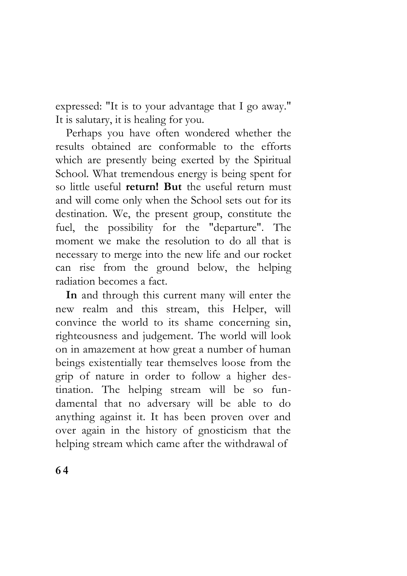expressed: "It is to your advantage that I go away." It is salutary, it is healing for you.

Perhaps you have often wondered whether the results obtained are conformable to the efforts which are presently being exerted by the Spiritual School. What tremendous energy is being spent for so little useful **return! But** the useful return must and will come only when the School sets out for its destination. We, the present group, constitute the fuel, the possibility for the "departure". The moment we make the resolution to do all that is necessary to merge into the new life and our rocket can rise from the ground below, the helping radiation becomes a fact.

**In** and through this current many will enter the new realm and this stream, this Helper, will convince the world to its shame concerning sin, righteousness and judgement. The world will look on in amazement at how great a number of human beings existentially tear themselves loose from the grip of nature in order to follow a higher destination. The helping stream will be so fundamental that no adversary will be able to do anything against it. It has been proven over and over again in the history of gnosticism that the helping stream which came after the withdrawal of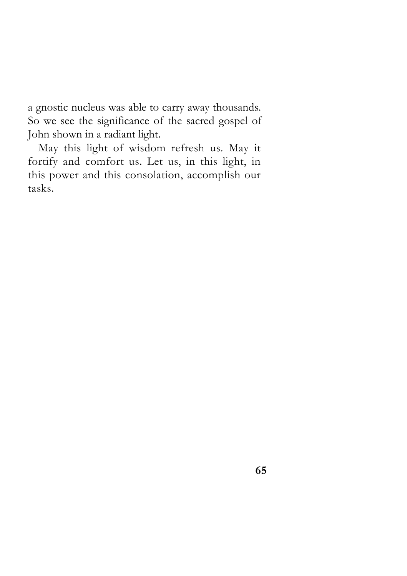a gnostic nucleus was able to carry away thousands. So we see the significance of the sacred gospel of John shown in a radiant light.

May this light of wisdom refresh us. May it fortify and comfort us. Let us, in this light, in this power and this consolation, accomplish our tasks.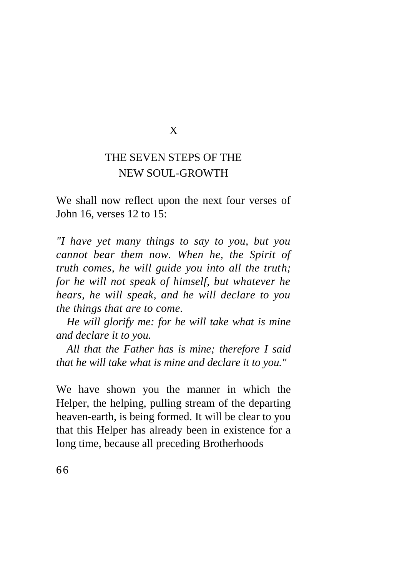## X

## THE SEVEN STEPS OF THE NEW SOUL-GROWTH

We shall now reflect upon the next four verses of John 16, verses 12 to 15:

*"I have yet many things to say to you, but you cannot bear them now. When he, the Spirit of truth comes, he will guide you into all the truth; for he will not speak of himself, but whatever he hears, he will speak, and he will declare to you the things that are to come.* 

*He will glorify me: for he will take what is mine and declare it to you.* 

*All that the Father has is mine; therefore I said that he will take what is mine and declare it to you."* 

We have shown you the manner in which the Helper, the helping, pulling stream of the departing heaven-earth, is being formed. It will be clear to you that this Helper has already been in existence for a long time, because all preceding Brotherhoods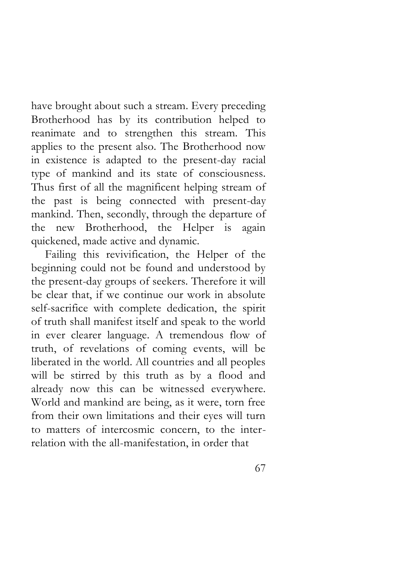have brought about such a stream. Every preceding Brotherhood has by its contribution helped to reanimate and to strengthen this stream. This applies to the present also. The Brotherhood now in existence is adapted to the present-day racial type of mankind and its state of consciousness. Thus first of all the magnificent helping stream of the past is being connected with present-day mankind. Then, secondly, through the departure of the new Brotherhood, the Helper is again quickened, made active and dynamic.

Failing this revivification, the Helper of the beginning could not be found and understood by the present-day groups of seekers. Therefore it will be clear that, if we continue our work in absolute self-sacrifice with complete dedication, the spirit of truth shall manifest itself and speak to the world in ever clearer language. A tremendous flow of truth, of revelations of coming events, will be liberated in the world. All countries and all peoples will be stirred by this truth as by a flood and already now this can be witnessed everywhere. World and mankind are being, as it were, torn free from their own limitations and their eyes will turn to matters of intercosmic concern, to the interrelation with the all-manifestation, in order that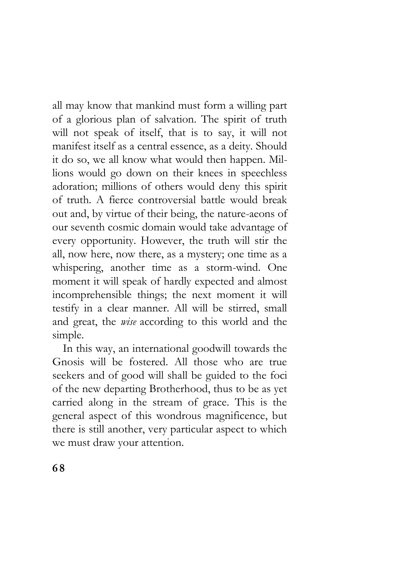all may know that mankind must form a willing part of a glorious plan of salvation. The spirit of truth will not speak of itself, that is to say, it will not manifest itself as a central essence, as a deity. Should it do so, we all know what would then happen. Millions would go down on their knees in speechless adoration; millions of others would deny this spirit of truth. A fierce controversial battle would break out and, by virtue of their being, the nature-aeons of our seventh cosmic domain would take advantage of every opportunity. However, the truth will stir the all, now here, now there, as a mystery; one time as a whispering, another time as a storm-wind. One moment it will speak of hardly expected and almost incomprehensible things; the next moment it will testify in a clear manner. All will be stirred, small and great, the *wise* according to this world and the simple.

In this way, an international goodwill towards the Gnosis will be fostered. All those who are true seekers and of good will shall be guided to the foci of the new departing Brotherhood, thus to be as yet carried along in the stream of grace. This is the general aspect of this wondrous magnificence, but there is still another, very particular aspect to which we must draw your attention.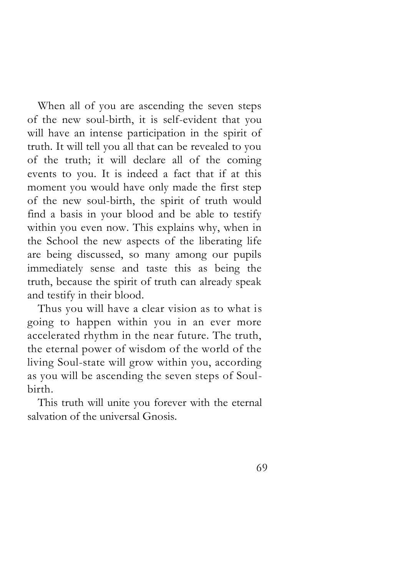When all of you are ascending the seven steps of the new soul-birth, it is self-evident that you will have an intense participation in the spirit of truth. It will tell you all that can be revealed to you of the truth; it will declare all of the coming events to you. It is indeed a fact that if at this moment you would have only made the first step of the new soul-birth, the spirit of truth would find a basis in your blood and be able to testify within you even now. This explains why, when in the School the new aspects of the liberating life are being discussed, so many among our pupils immediately sense and taste this as being the truth, because the spirit of truth can already speak and testify in their blood.

Thus you will have a clear vision as to what is going to happen within you in an ever more accelerated rhythm in the near future. The truth, the eternal power of wisdom of the world of the living Soul-state will grow within you, according as you will be ascending the seven steps of Soulbirth.

This truth will unite you forever with the eternal salvation of the universal Gnosis.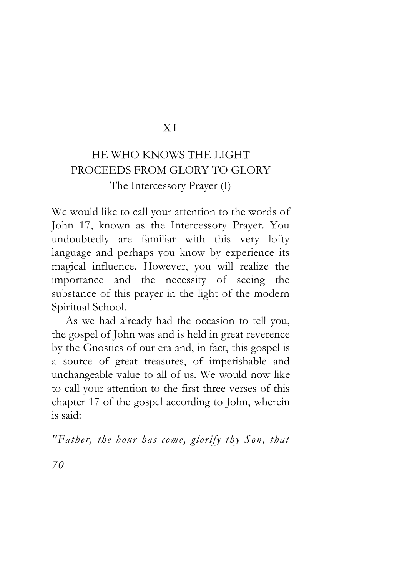### X I

# HE WHO KNOWS THE LIGHT PROCEEDS FROM GLORY TO GLORY The Intercessory Prayer (I)

We would like to call your attention to the words of John 17, known as the Intercessory Prayer. You undoubtedly are familiar with this very lofty language and perhaps you know by experience its magical influence. However, you will realize the importance and the necessity of seeing the substance of this prayer in the light of the modern Spiritual School.

As we had already had the occasion to tell you, the gospel of John was and is held in great reverence by the Gnostics of our era and, in fact, this gospel is a source of great treasures, of imperishable and unchangeable value to all of us. We would now like to call your attention to the first three verses of this chapter 17 of the gospel according to John, wherein is said:

*"Father, the hour has come, glorify thy Son, that*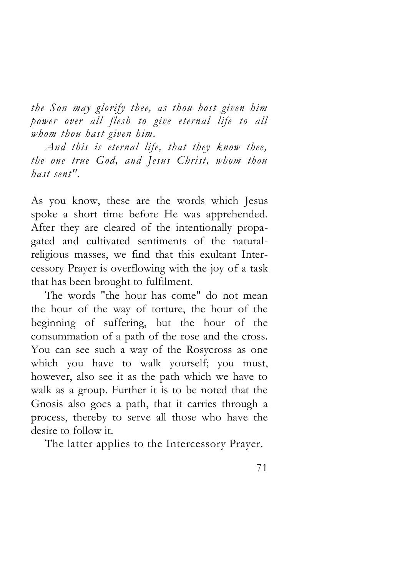*the Son may glorify thee, as thou host given him power over all flesh to give eternal life to all whom thou hast given him.* 

*And this is eternal life, that they know thee, the one true God, and Jesus Christ, whom thou hast sent".* 

As you know, these are the words which Jesus spoke a short time before He was apprehended. After they are cleared of the intentionally propagated and cultivated sentiments of the naturalreligious masses, we find that this exultant Intercessory Prayer is overflowing with the joy of a task that has been brought to fulfilment.

The words "the hour has come" do not mean the hour of the way of torture, the hour of the beginning of suffering, but the hour of the consummation of a path of the rose and the cross. You can see such a way of the Rosycross as one which you have to walk yourself; you must, however, also see it as the path which we have to walk as a group. Further it is to be noted that the Gnosis also goes a path, that it carries through a process, thereby to serve all those who have the desire to follow it.

The latter applies to the Intercessory Prayer.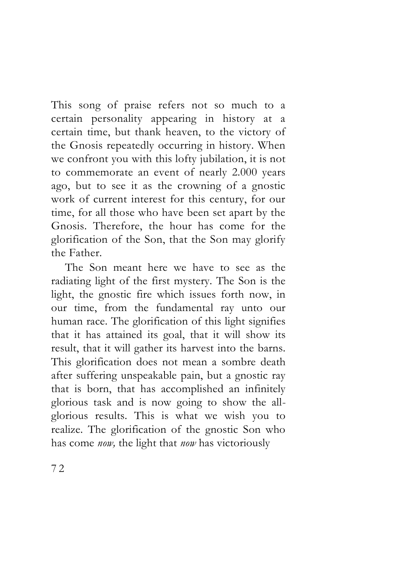This song of praise refers not so much to a certain personality appearing in history at a certain time, but thank heaven, to the victory of the Gnosis repeatedly occurring in history. When we confront you with this lofty jubilation, it is not to commemorate an event of nearly 2.000 years ago, but to see it as the crowning of a gnostic work of current interest for this century, for our time, for all those who have been set apart by the Gnosis. Therefore, the hour has come for the glorification of the Son, that the Son may glorify the Father.

The Son meant here we have to see as the radiating light of the first mystery. The Son is the light, the gnostic fire which issues forth now, in our time, from the fundamental ray unto our human race. The glorification of this light signifies that it has attained its goal, that it will show its result, that it will gather its harvest into the barns. This glorification does not mean a sombre death after suffering unspeakable pain, but a gnostic ray that is born, that has accomplished an infinitely glorious task and is now going to show the allglorious results. This is what we wish you to realize. The glorification of the gnostic Son who has come *now,* the light that *now* has victoriously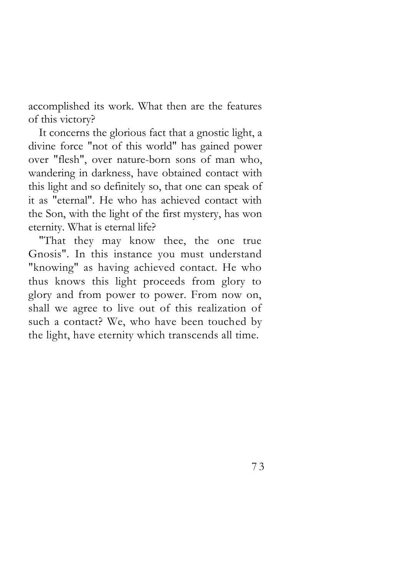accomplished its work. What then are the features of this victory?

It concerns the glorious fact that a gnostic light, a divine force "not of this world" has gained power over "flesh", over nature-born sons of man who, wandering in darkness, have obtained contact with this light and so definitely so, that one can speak of it as "eternal". He who has achieved contact with the Son, with the light of the first mystery, has won eternity. What is eternal life?

"That they may know thee, the one true Gnosis". In this instance you must understand "knowing" as having achieved contact. He who thus knows this light proceeds from glory to glory and from power to power. From now on, shall we agree to live out of this realization of such a contact? We, who have been touched by the light, have eternity which transcends all time.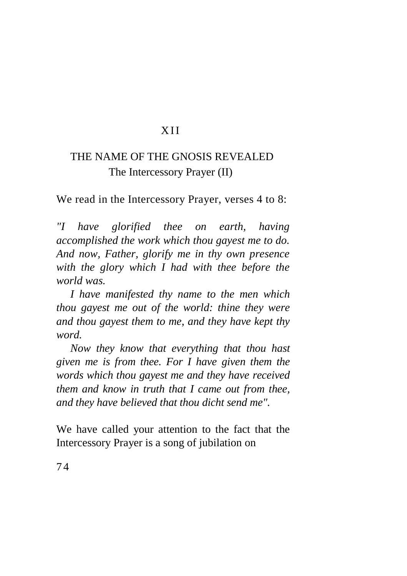### X II

## THE NAME OF THE GNOSIS REVEALED The Intercessory Prayer (II)

We read in the Intercessory Prayer, verses 4 to 8:

*"I have glorified thee on earth, having accomplished the work which thou gayest me to do. And now, Father, glorify me in thy own presence with the glory which I had with thee before the world was.* 

*I have manifested thy name to the men which thou gayest me out of the world: thine they were and thou gayest them to me, and they have kept thy word.* 

*Now they know that everything that thou hast given me is from thee. For I have given them the words which thou gayest me and they have received them and know in truth that I came out from thee, and they have believed that thou dicht send me".*

We have called your attention to the fact that the Intercessory Prayer is a song of jubilation on

74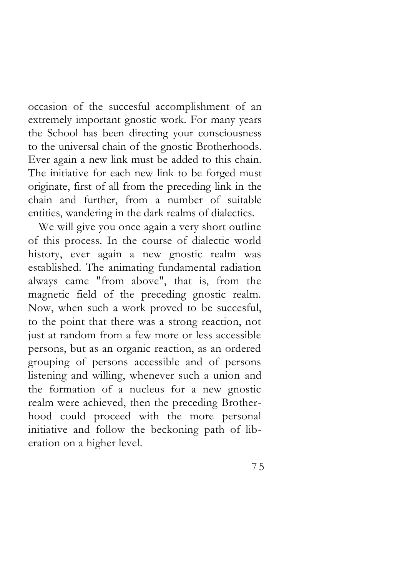occasion of the succesful accomplishment of an extremely important gnostic work. For many years the School has been directing your consciousness to the universal chain of the gnostic Brotherhoods. Ever again a new link must be added to this chain. The initiative for each new link to be forged must originate, first of all from the preceding link in the chain and further, from a number of suitable entities, wandering in the dark realms of dialectics.

We will give you once again a very short outline of this process. In the course of dialectic world history, ever again a new gnostic realm was established. The animating fundamental radiation always came "from above", that is, from the magnetic field of the preceding gnostic realm. Now, when such a work proved to be succesful, to the point that there was a strong reaction, not just at random from a few more or less accessible persons, but as an organic reaction, as an ordered grouping of persons accessible and of persons listening and willing, whenever such a union and the formation of a nucleus for a new gnostic realm were achieved, then the preceding Brotherhood could proceed with the more personal initiative and follow the beckoning path of liberation on a higher level.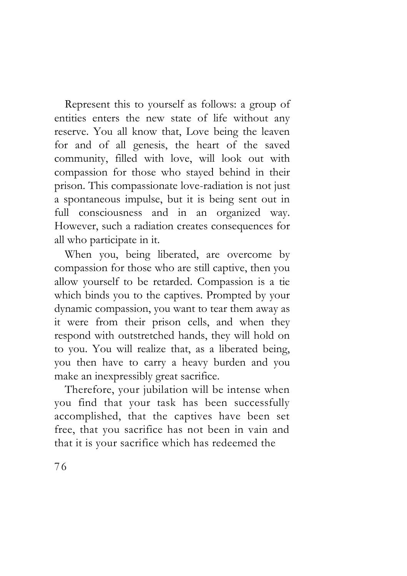Represent this to yourself as follows: a group of entities enters the new state of life without any reserve. You all know that, Love being the leaven for and of all genesis, the heart of the saved community, filled with love, will look out with compassion for those who stayed behind in their prison. This compassionate love-radiation is not just a spontaneous impulse, but it is being sent out in full consciousness and in an organized way. However, such a radiation creates consequences for all who participate in it.

When you, being liberated, are overcome by compassion for those who are still captive, then you allow yourself to be retarded. Compassion is a tie which binds you to the captives. Prompted by your dynamic compassion, you want to tear them away as it were from their prison cells, and when they respond with outstretched hands, they will hold on to you. You will realize that, as a liberated being, you then have to carry a heavy burden and you make an inexpressibly great sacrifice.

Therefore, your jubilation will be intense when you find that your task has been successfully accomplished, that the captives have been set free, that you sacrifice has not been in vain and that it is your sacrifice which has redeemed the

76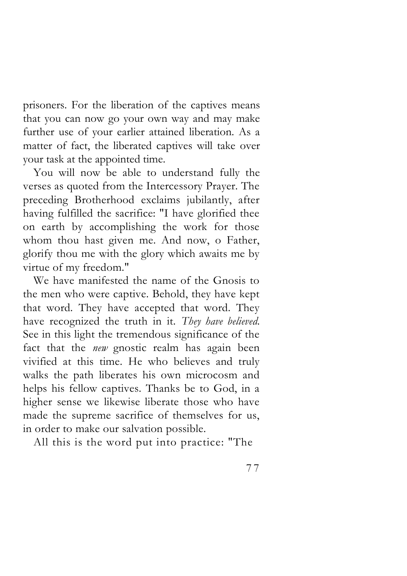prisoners. For the liberation of the captives means that you can now go your own way and may make further use of your earlier attained liberation. As a matter of fact, the liberated captives will take over your task at the appointed time.

You will now be able to understand fully the verses as quoted from the Intercessory Prayer. The preceding Brotherhood exclaims jubilantly, after having fulfilled the sacrifice: "I have glorified thee on earth by accomplishing the work for those whom thou hast given me. And now, o Father, glorify thou me with the glory which awaits me by virtue of my freedom."

We have manifested the name of the Gnosis to the men who were captive. Behold, they have kept that word. They have accepted that word. They have recognized the truth in it. *They have believed.*  See in this light the tremendous significance of the fact that the *new* gnostic realm has again been vivified at this time. He who believes and truly walks the path liberates his own microcosm and helps his fellow captives. Thanks be to God, in a higher sense we likewise liberate those who have made the supreme sacrifice of themselves for us, in order to make our salvation possible.

All this is the word put into practice: "The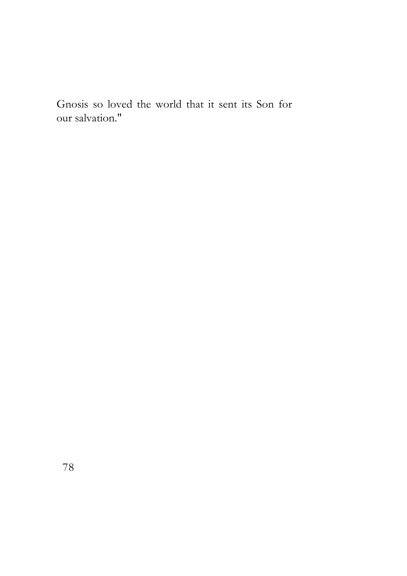Gnosis so loved the world that it sent its Son for our salvation."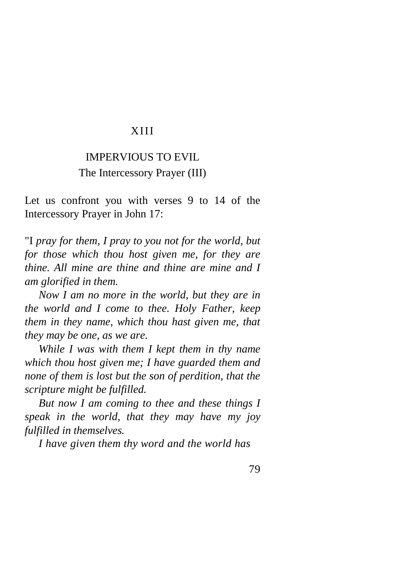#### XIII

### IMPERVIOUS TO EVIL The Intercessory Prayer (III)

Let us confront you with verses 9 to 14 of the Intercessory Prayer in John 17:

"I *pray for them, I pray to you not for the world, but for those which thou host given me, for they are thine. All mine are thine and thine are mine and I am glorified in them.*

*Now I am no more in the world, but they are in the world and I come to thee. Holy Father, keep them in they name, which thou hast given me, that they may be one, as we are.* 

*While I was with them I kept them in thy name which thou host given me; I have guarded them and none of them is lost but the son of perdition, that the scripture might be fulfilled.* 

*But now I am coming to thee and these things I speak in the world, that they may have my joy fulfilled in themselves.* 

*I have given them thy word and the world has*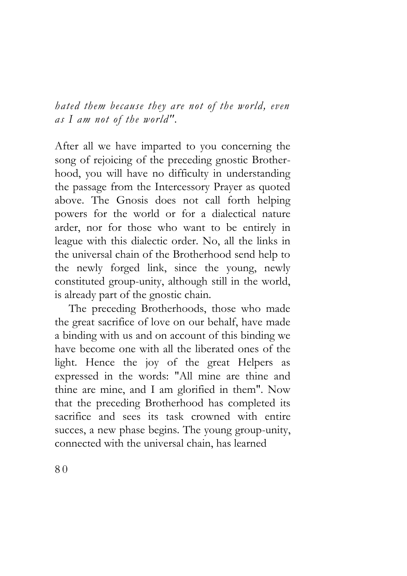*hated them because they are not of the world, even as I am not of the world".* 

After all we have imparted to you concerning the song of rejoicing of the preceding gnostic Brotherhood, you will have no difficulty in understanding the passage from the Intercessory Prayer as quoted above. The Gnosis does not call forth helping powers for the world or for a dialectical nature arder, nor for those who want to be entirely in league with this dialectic order. No, all the links in the universal chain of the Brotherhood send help to the newly forged link, since the young, newly constituted group-unity, although still in the world, is already part of the gnostic chain.

The preceding Brotherhoods, those who made the great sacrifice of love on our behalf, have made a binding with us and on account of this binding we have become one with all the liberated ones of the light. Hence the joy of the great Helpers as expressed in the words: "All mine are thine and thine are mine, and I am glorified in them". Now that the preceding Brotherhood has completed its sacrifice and sees its task crowned with entire succes, a new phase begins. The young group-unity, connected with the universal chain, has learned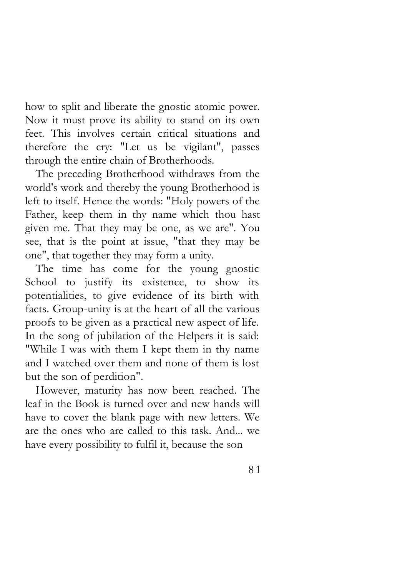how to split and liberate the gnostic atomic power. Now it must prove its ability to stand on its own feet. This involves certain critical situations and therefore the cry: "Let us be vigilant", passes through the entire chain of Brotherhoods.

The preceding Brotherhood withdraws from the world's work and thereby the young Brotherhood is left to itself. Hence the words: "Holy powers of the Father, keep them in thy name which thou hast given me. That they may be one, as we are". You see, that is the point at issue, "that they may be one", that together they may form a unity.

The time has come for the young gnostic School to justify its existence, to show its potentialities, to give evidence of its birth with facts. Group-unity is at the heart of all the various proofs to be given as a practical new aspect of life. In the song of jubilation of the Helpers it is said: "While I was with them I kept them in thy name and I watched over them and none of them is lost but the son of perdition".

However, maturity has now been reached. The leaf in the Book is turned over and new hands will have to cover the blank page with new letters. We are the ones who are called to this task. And... we have every possibility to fulfil it, because the son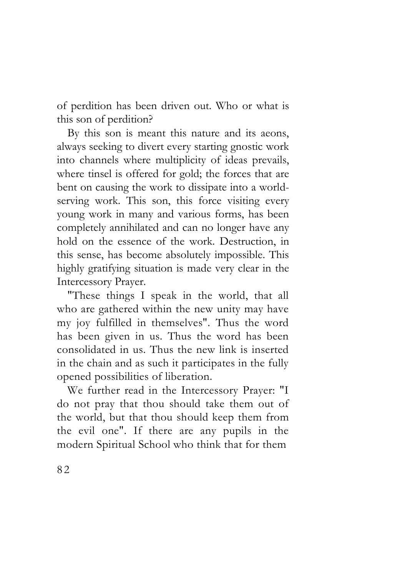of perdition has been driven out. Who or what is this son of perdition?

By this son is meant this nature and its aeons, always seeking to divert every starting gnostic work into channels where multiplicity of ideas prevails, where tinsel is offered for gold; the forces that are bent on causing the work to dissipate into a worldserving work. This son, this force visiting every young work in many and various forms, has been completely annihilated and can no longer have any hold on the essence of the work. Destruction, in this sense, has become absolutely impossible. This highly gratifying situation is made very clear in the Intercessory Prayer.

"These things I speak in the world, that all who are gathered within the new unity may have my joy fulfilled in themselves". Thus the word has been given in us. Thus the word has been consolidated in us. Thus the new link is inserted in the chain and as such it participates in the fully opened possibilities of liberation.

We further read in the Intercessory Prayer: "I do not pray that thou should take them out of the world, but that thou should keep them from the evil one". If there are any pupils in the modern Spiritual School who think that for them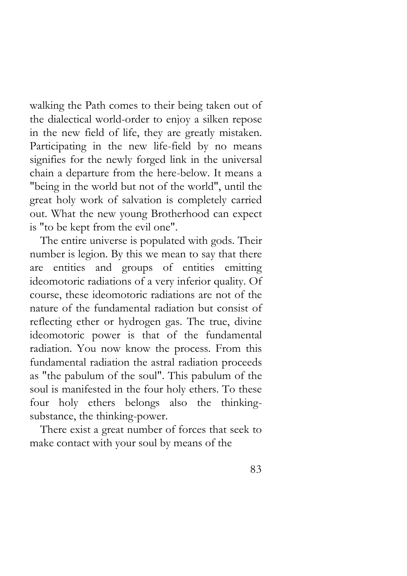walking the Path comes to their being taken out of the dialectical world-order to enjoy a silken repose in the new field of life, they are greatly mistaken. Participating in the new life-field by no means signifies for the newly forged link in the universal chain a departure from the here-below. It means a "being in the world but not of the world", until the great holy work of salvation is completely carried out. What the new young Brotherhood can expect is "to be kept from the evil one".

The entire universe is populated with gods. Their number is legion. By this we mean to say that there are entities and groups of entities emitting ideomotoric radiations of a very inferior quality. Of course, these ideomotoric radiations are not of the nature of the fundamental radiation but consist of reflecting ether or hydrogen gas. The true, divine ideomotoric power is that of the fundamental radiation. You now know the process. From this fundamental radiation the astral radiation proceeds as "the pabulum of the soul". This pabulum of the soul is manifested in the four holy ethers. To these four holy ethers belongs also the thinkingsubstance, the thinking-power.

There exist a great number of forces that seek to make contact with your soul by means of the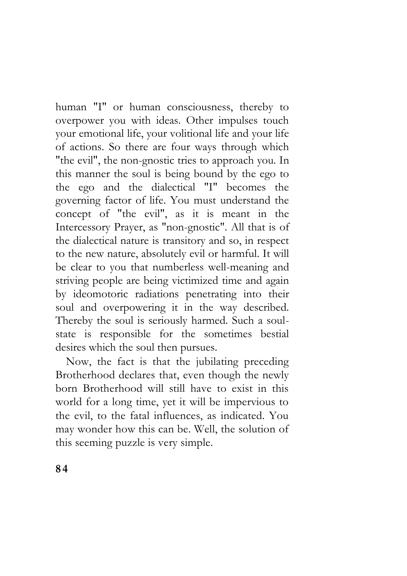human "I" or human consciousness, thereby to overpower you with ideas. Other impulses touch your emotional life, your volitional life and your life of actions. So there are four ways through which "the evil", the non-gnostic tries to approach you. In this manner the soul is being bound by the ego to the ego and the dialectical "I" becomes the governing factor of life. You must understand the concept of "the evil", as it is meant in the Intercessory Prayer, as "non-gnostic". All that is of the dialectical nature is transitory and so, in respect to the new nature, absolutely evil or harmful. It will be clear to you that numberless well-meaning and striving people are being victimized time and again by ideomotoric radiations penetrating into their soul and overpowering it in the way described. Thereby the soul is seriously harmed. Such a soulstate is responsible for the sometimes bestial desires which the soul then pursues.

Now, the fact is that the jubilating preceding Brotherhood declares that, even though the newly born Brotherhood will still have to exist in this world for a long time, yet it will be impervious to the evil, to the fatal influences, as indicated. You may wonder how this can be. Well, the solution of this seeming puzzle is very simple.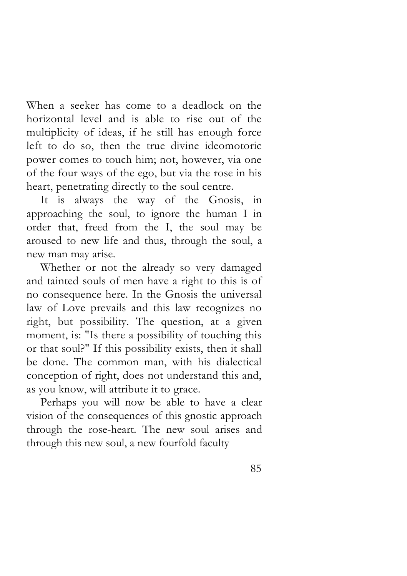When a seeker has come to a deadlock on the horizontal level and is able to rise out of the multiplicity of ideas, if he still has enough force left to do so, then the true divine ideomotoric power comes to touch him; not, however, via one of the four ways of the ego, but via the rose in his heart, penetrating directly to the soul centre.

It is always the way of the Gnosis, in approaching the soul, to ignore the human I in order that, freed from the I, the soul may be aroused to new life and thus, through the soul, a new man may arise.

Whether or not the already so very damaged and tainted souls of men have a right to this is of no consequence here. In the Gnosis the universal law of Love prevails and this law recognizes no right, but possibility. The question, at a given moment, is: "Is there a possibility of touching this or that soul?" If this possibility exists, then it shall be done. The common man, with his dialectical conception of right, does not understand this and, as you know, will attribute it to grace.

Perhaps you will now be able to have a clear vision of the consequences of this gnostic approach through the rose-heart. The new soul arises and through this new soul, a new fourfold faculty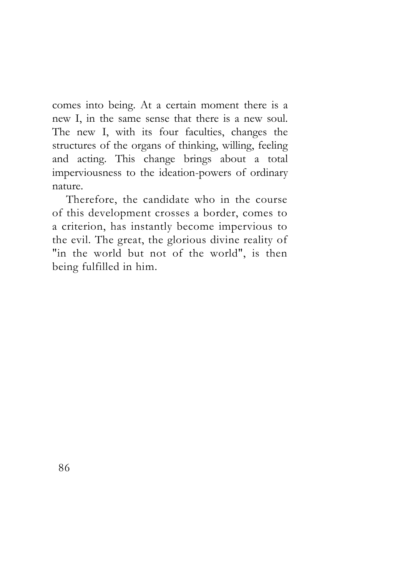comes into being. At a certain moment there is a new I, in the same sense that there is a new soul. The new I, with its four faculties, changes the structures of the organs of thinking, willing, feeling and acting. This change brings about a total imperviousness to the ideation-powers of ordinary nature.

Therefore, the candidate who in the course of this development crosses a border, comes to a criterion, has instantly become impervious to the evil. The great, the glorious divine reality of "in the world but not of the world", is then being fulfilled in him.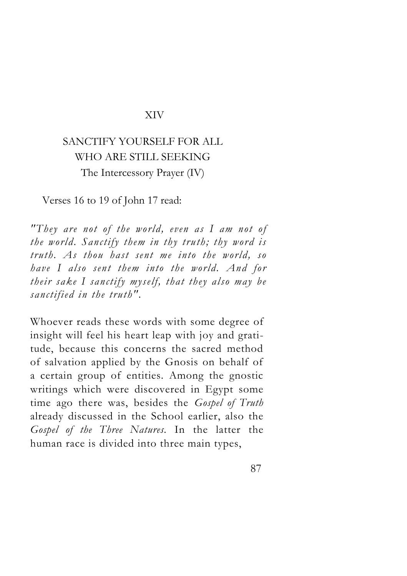#### XIV

# SANCTIFY YOURSELF FOR ALL WHO ARE STILL SEEKING The Intercessory Prayer (IV)

Verses 16 to 19 of John 17 read:

*"They are not of the world, even as I am not of the world. Sanctify them in thy truth; thy word is truth. As thou hast sent me into the world, so have I also sent them into the world. And for their sake I sanctify myself, that they also may be sanctified in the truth".*

Whoever reads these words with some degree of insight will feel his heart leap with joy and gratitude, because this concerns the sacred method of salvation applied by the Gnosis on behalf of a certain group of entities. Among the gnostic writings which were discovered in Egypt some time ago there was, besides the *Gospel of Truth*  already discussed in the School earlier, also the *Gospel of the Three Natures.* In the latter the human race is divided into three main types,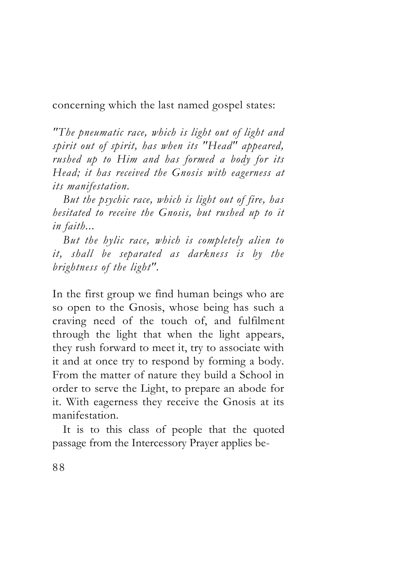concerning which the last named gospel states:

*"The pneumatic race, which is light out of light and spirit out of spirit, has when its "Head" appeared, rushed up to Him and has formed a body for its Head; it has received the Gnosis with eagerness at its manifestation.*

*But the psychic race, which is light out of fire, has hesitated to receive the Gnosis, but rushed up to it in faith...*

*But the hylic race, which is completely alien to it, shall be separated as darkness is by the brightness of the light".*

In the first group we find human beings who are so open to the Gnosis, whose being has such a craving need of the touch of, and fulfilment through the light that when the light appears, they rush forward to meet it, try to associate with it and at once try to respond by forming a body. From the matter of nature they build a School in order to serve the Light, to prepare an abode for it. With eagerness they receive the Gnosis at its manifestation.

It is to this class of people that the quoted passage from the Intercessory Prayer applies be-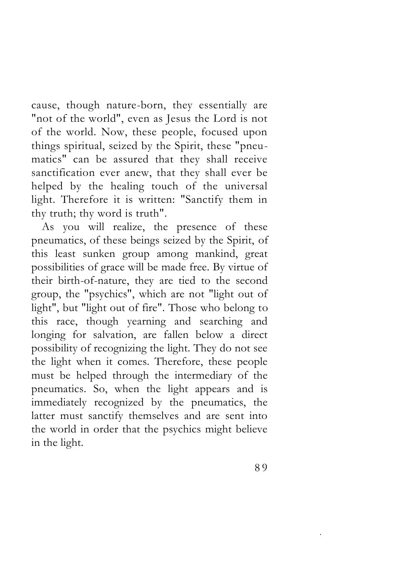cause, though nature-born, they essentially are "not of the world", even as Jesus the Lord is not of the world. Now, these people, focused upon things spiritual, seized by the Spirit, these "pneumatics" can be assured that they shall receive sanctification ever anew, that they shall ever be helped by the healing touch of the universal light. Therefore it is written: "Sanctify them in thy truth; thy word is truth".

As you will realize, the presence of these pneumatics, of these beings seized by the Spirit, of this least sunken group among mankind, great possibilities of grace will be made free. By virtue of their birth-of-nature, they are tied to the second group, the "psychics", which are not "light out of light", but "light out of fire". Those who belong to this race, though yearning and searching and longing for salvation, are fallen below a direct possibility of recognizing the light. They do not see the light when it comes. Therefore, these people must be helped through the intermediary of the pneumatics. So, when the light appears and is immediately recognized by the pneumatics, the latter must sanctify themselves and are sent into the world in order that the psychics might believe in the light.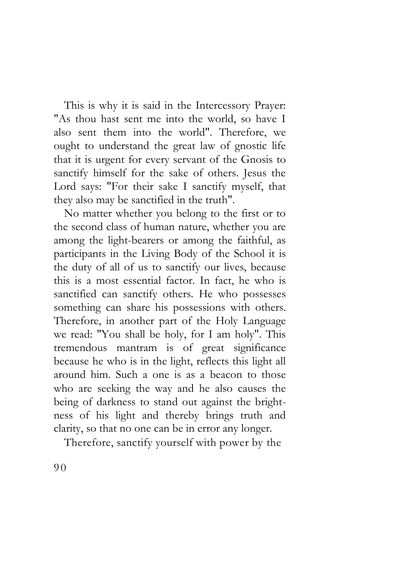This is why it is said in the Intercessory Prayer: "As thou hast sent me into the world, so have I also sent them into the world". Therefore, we ought to understand the great law of gnostic life that it is urgent for every servant of the Gnosis to sanctify himself for the sake of others. Jesus the Lord says: "For their sake I sanctify myself, that they also may be sanctified in the truth".

No matter whether you belong to the first or to the second class of human nature, whether you are among the light-bearers or among the faithful, as participants in the Living Body of the School it is the duty of all of us to sanctify our lives, because this is a most essential factor. In fact, he who is sanctified can sanctify others. He who possesses something can share his possessions with others. Therefore, in another part of the Holy Language we read: "You shall be holy, for I am holy". This tremendous mantram is of great significance because he who is in the light, reflects this light all around him. Such a one is as a beacon to those who are seeking the way and he also causes the being of darkness to stand out against the brightness of his light and thereby brings truth and clarity, so that no one can be in error any longer.

Therefore, sanctify yourself with power by the

9 0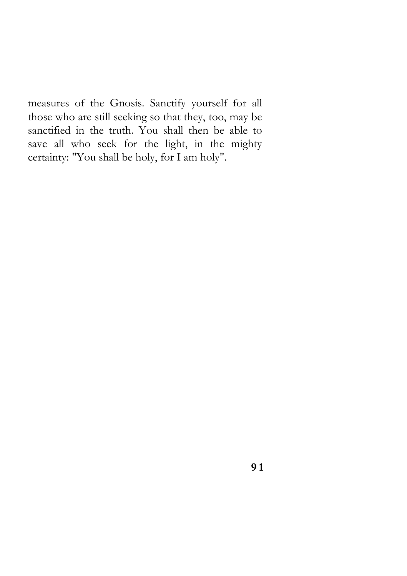measures of the Gnosis. Sanctify yourself for all those who are still seeking so that they, too, may be sanctified in the truth. You shall then be able to save all who seek for the light, in the mighty certainty: "You shall be holy, for I am holy".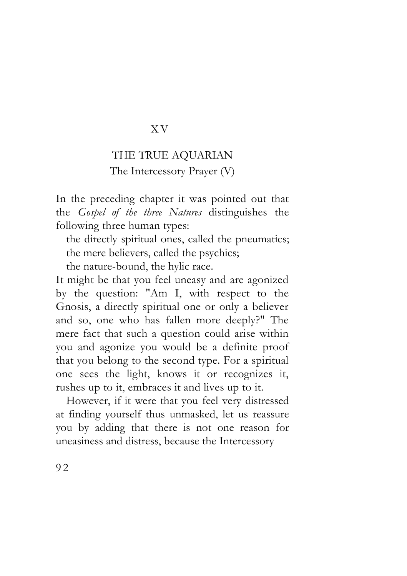#### X V

## THE TRUE AQUARIAN The Intercessory Prayer (V)

In the preceding chapter it was pointed out that the *Gospel of the three Natures* distinguishes the following three human types:

the directly spiritual ones, called the pneumatics; the mere believers, called the psychics;

the nature-bound, the hylic race.

It might be that you feel uneasy and are agonized by the question: "Am I, with respect to the Gnosis, a directly spiritual one or only a believer and so, one who has fallen more deeply?" The mere fact that such a question could arise within you and agonize you would be a definite proof that you belong to the second type. For a spiritual one sees the light, knows it or recognizes it, rushes up to it, embraces it and lives up to it.

However, if it were that you feel very distressed at finding yourself thus unmasked, let us reassure you by adding that there is not one reason for uneasiness and distress, because the Intercessory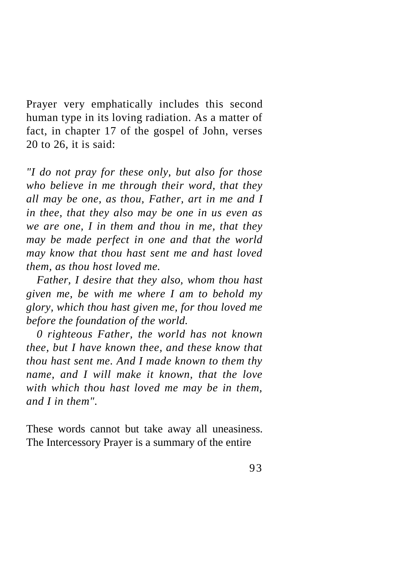Prayer very emphatically includes this second human type in its loving radiation. As a matter of fact, in chapter 17 of the gospel of John, verses 20 to 26, it is said:

*"I do not pray for these only, but also for those who believe in me through their word, that they all may be one, as thou, Father, art in me and I in thee, that they also may be one in us even as we are one, I in them and thou in me, that they may be made perfect in one and that the world may know that thou hast sent me and hast loved them, as thou host loved me.*

*Father, I desire that they also, whom thou hast given me, be with me where I am to behold my glory, which thou hast given me, for thou loved me before the foundation of the world.*

*0 righteous Father, the world has not known thee, but I have known thee, and these know that thou hast sent me. And I made known to them thy name, and I will make it known, that the love with which thou hast loved me may be in them, and I in them".*

These words cannot but take away all uneasiness. The Intercessory Prayer is a summary of the entire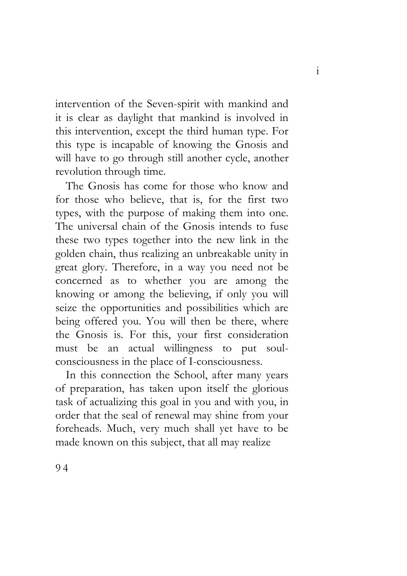intervention of the Seven-spirit with mankind and it is clear as daylight that mankind is involved in this intervention, except the third human type. For this type is incapable of knowing the Gnosis and will have to go through still another cycle, another revolution through time.

The Gnosis has come for those who know and for those who believe, that is, for the first two types, with the purpose of making them into one. The universal chain of the Gnosis intends to fuse these two types together into the new link in the golden chain, thus realizing an unbreakable unity in great glory. Therefore, in a way you need not be concerned as to whether you are among the knowing or among the believing, if only you will seize the opportunities and possibilities which are being offered you. You will then be there, where the Gnosis is. For this, your first consideration must be an actual willingness to put soulconsciousness in the place of I-consciousness.

In this connection the School, after many years of preparation, has taken upon itself the glorious task of actualizing this goal in you and with you, in order that the seal of renewal may shine from your foreheads. Much, very much shall yet have to be made known on this subject, that all may realize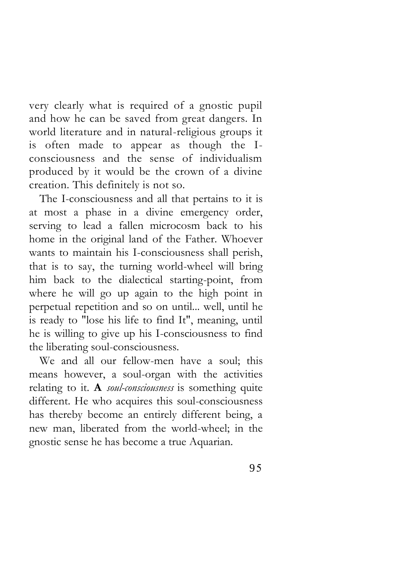very clearly what is required of a gnostic pupil and how he can be saved from great dangers. In world literature and in natural-religious groups it is often made to appear as though the Iconsciousness and the sense of individualism produced by it would be the crown of a divine creation. This definitely is not so.

The I-consciousness and all that pertains to it is at most a phase in a divine emergency order, serving to lead a fallen microcosm back to his home in the original land of the Father. Whoever wants to maintain his I-consciousness shall perish, that is to say, the turning world-wheel will bring him back to the dialectical starting-point, from where he will go up again to the high point in perpetual repetition and so on until... well, until he is ready to "lose his life to find It", meaning, until he is willing to give up his I-consciousness to find the liberating soul-consciousness.

We and all our fellow-men have a soul; this means however, a soul-organ with the activities relating to it. **A** *soul-consciousness* is something quite different. He who acquires this soul-consciousness has thereby become an entirely different being, a new man, liberated from the world-wheel; in the gnostic sense he has become a true Aquarian.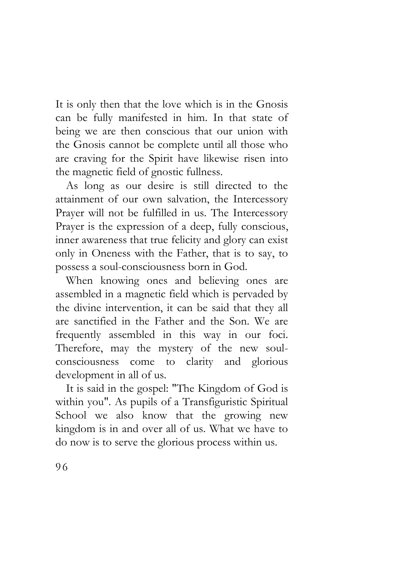It is only then that the love which is in the Gnosis can be fully manifested in him. In that state of being we are then conscious that our union with the Gnosis cannot be complete until all those who are craving for the Spirit have likewise risen into the magnetic field of gnostic fullness.

As long as our desire is still directed to the attainment of our own salvation, the Intercessory Prayer will not be fulfilled in us. The Intercessory Prayer is the expression of a deep, fully conscious, inner awareness that true felicity and glory can exist only in Oneness with the Father, that is to say, to possess a soul-consciousness born in God.

When knowing ones and believing ones are assembled in a magnetic field which is pervaded by the divine intervention, it can be said that they all are sanctified in the Father and the Son. We are frequently assembled in this way in our foci. Therefore, may the mystery of the new soulconsciousness come to clarity and glorious development in all of us.

It is said in the gospel: "The Kingdom of God is within you". As pupils of a Transfiguristic Spiritual School we also know that the growing new kingdom is in and over all of us. What we have to do now is to serve the glorious process within us.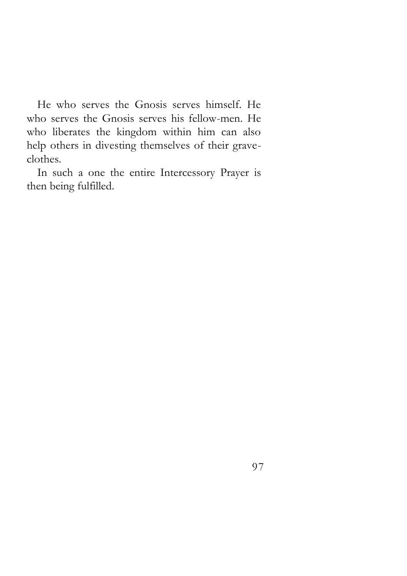He who serves the Gnosis serves himself. He who serves the Gnosis serves his fellow-men. He who liberates the kingdom within him can also help others in divesting themselves of their graveclothes.

In such a one the entire Intercessory Prayer is then being fulfilled.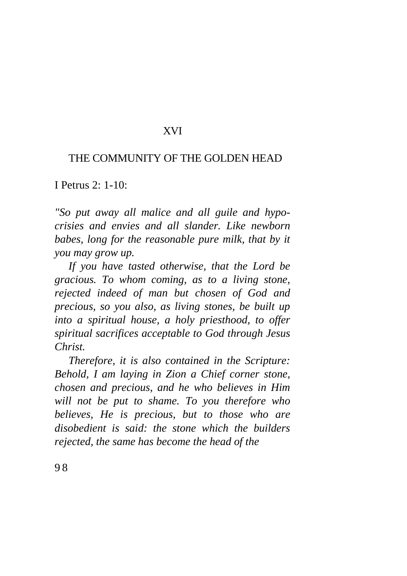### XVI

#### THE COMMUNITY OF THE GOLDEN HEAD

I Petrus 2: 1-10:

*"So put away all malice and all guile and hypocrisies and envies and all slander. Like newborn babes, long for the reasonable pure milk, that by it you may grow up.*

*If you have tasted otherwise, that the Lord be gracious. To whom coming, as to a living stone, rejected indeed of man but chosen of God and precious, so you also, as living stones, be built up into a spiritual house, a holy priesthood, to offer spiritual sacrifices acceptable to God through Jesus Christ.*

*Therefore, it is also contained in the Scripture: Behold, I am laying in Zion a Chief corner stone, chosen and precious, and he who believes in Him will not be put to shame. To you therefore who believes, He is precious, but to those who are disobedient is said: the stone which the builders rejected, the same has become the head of the*

9 8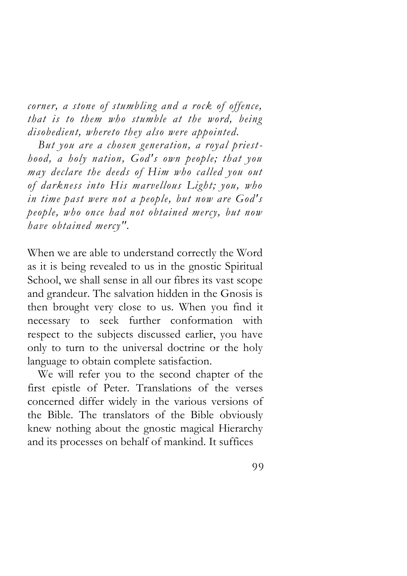*corner, a stone of stumbling and a rock of offence, that is to them who stumble at the word, being disobedient, whereto they also were appointed.* 

*But you are a chosen generation, a royal priest hood, a holy nation, God's own people; that you may declare the deeds of Him who called you out of darkness into His marvellous Light; you, who in time past were not a people, but now are God's people, who once had not obtained mercy, but now have obtained mercy".* 

When we are able to understand correctly the Word as it is being revealed to us in the gnostic Spiritual School, we shall sense in all our fibres its vast scope and grandeur. The salvation hidden in the Gnosis is then brought very close to us. When you find it necessary to seek further conformation with respect to the subjects discussed earlier, you have only to turn to the universal doctrine or the holy language to obtain complete satisfaction.

We will refer you to the second chapter of the first epistle of Peter. Translations of the verses concerned differ widely in the various versions of the Bible. The translators of the Bible obviously knew nothing about the gnostic magical Hierarchy and its processes on behalf of mankind. It suffices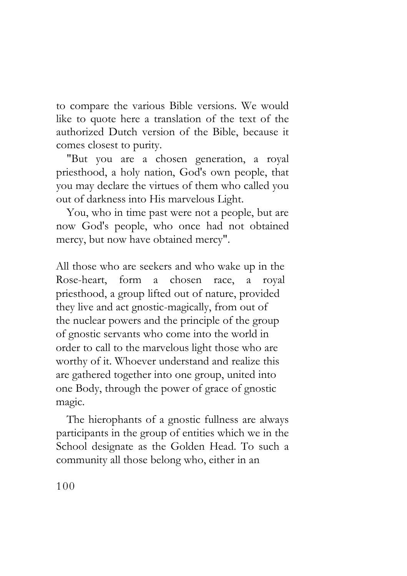to compare the various Bible versions. We would like to quote here a translation of the text of the authorized Dutch version of the Bible, because it comes closest to purity.

"But you are a chosen generation, a royal priesthood, a holy nation, God's own people, that you may declare the virtues of them who called you out of darkness into His marvelous Light.

You, who in time past were not a people, but are now God's people, who once had not obtained mercy, but now have obtained mercy".

All those who are seekers and who wake up in the Rose-heart, form a chosen race, a royal priesthood, a group lifted out of nature, provided they live and act gnostic-magically, from out of the nuclear powers and the principle of the group of gnostic servants who come into the world in order to call to the marvelous light those who are worthy of it. Whoever understand and realize this are gathered together into one group, united into one Body, through the power of grace of gnostic magic.

The hierophants of a gnostic fullness are always participants in the group of entities which we in the School designate as the Golden Head. To such a community all those belong who, either in an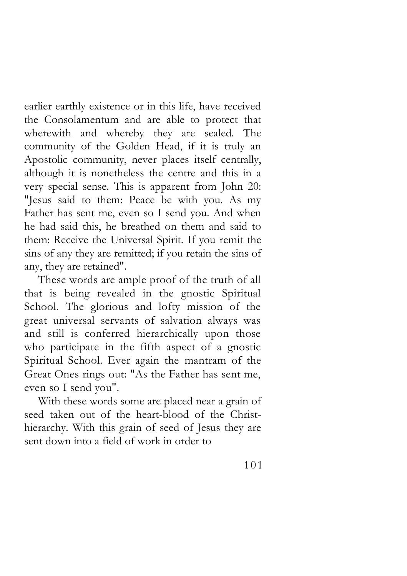earlier earthly existence or in this life, have received the Consolamentum and are able to protect that wherewith and whereby they are sealed. The community of the Golden Head, if it is truly an Apostolic community, never places itself centrally, although it is nonetheless the centre and this in a very special sense. This is apparent from John 20: "Jesus said to them: Peace be with you. As my Father has sent me, even so I send you. And when he had said this, he breathed on them and said to them: Receive the Universal Spirit. If you remit the sins of any they are remitted; if you retain the sins of any, they are retained".

These words are ample proof of the truth of all that is being revealed in the gnostic Spiritual School. The glorious and lofty mission of the great universal servants of salvation always was and still is conferred hierarchically upon those who participate in the fifth aspect of a gnostic Spiritual School. Ever again the mantram of the Great Ones rings out: "As the Father has sent me, even so I send you".

With these words some are placed near a grain of seed taken out of the heart-blood of the Christhierarchy. With this grain of seed of Jesus they are sent down into a field of work in order to

101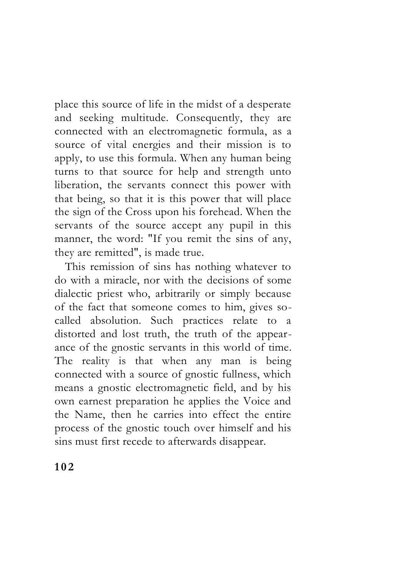place this source of life in the midst of a desperate and seeking multitude. Consequently, they are connected with an electromagnetic formula, as a source of vital energies and their mission is to apply, to use this formula. When any human being turns to that source for help and strength unto liberation, the servants connect this power with that being, so that it is this power that will place the sign of the Cross upon his forehead. When the servants of the source accept any pupil in this manner, the word: "If you remit the sins of any, they are remitted", is made true.

This remission of sins has nothing whatever to do with a miracle, nor with the decisions of some dialectic priest who, arbitrarily or simply because of the fact that someone comes to him, gives socalled absolution. Such practices relate to a distorted and lost truth, the truth of the appearance of the gnostic servants in this world of time. The reality is that when any man is being connected with a source of gnostic fullness, which means a gnostic electromagnetic field, and by his own earnest preparation he applies the Voice and the Name, then he carries into effect the entire process of the gnostic touch over himself and his sins must first recede to afterwards disappear.

**1 0 2**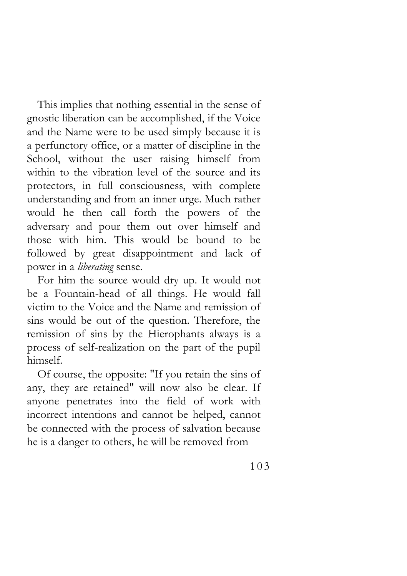This implies that nothing essential in the sense of gnostic liberation can be accomplished, if the Voice and the Name were to be used simply because it is a perfunctory office, or a matter of discipline in the School, without the user raising himself from within to the vibration level of the source and its protectors, in full consciousness, with complete understanding and from an inner urge. Much rather would he then call forth the powers of the adversary and pour them out over himself and those with him. This would be bound to be followed by great disappointment and lack of power in a *liberating* sense.

For him the source would dry up. It would not be a Fountain-head of all things. He would fall victim to the Voice and the Name and remission of sins would be out of the question. Therefore, the remission of sins by the Hierophants always is a process of self-realization on the part of the pupil himself.

Of course, the opposite: "If you retain the sins of any, they are retained" will now also be clear. If anyone penetrates into the field of work with incorrect intentions and cannot be helped, cannot be connected with the process of salvation because he is a danger to others, he will be removed from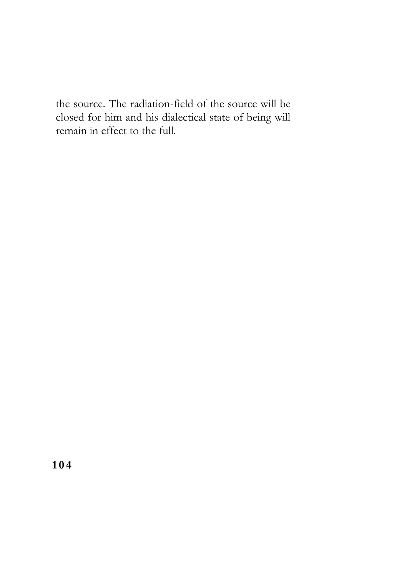the source. The radiation-field of the source will be closed for him and his dialectical state of being will remain in effect to the full.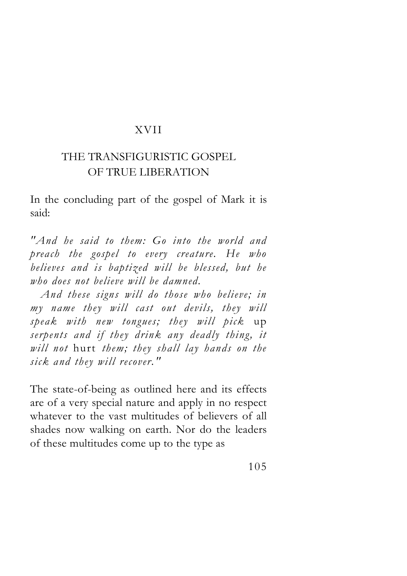#### XVII

## THE TRANSFIGURISTIC GOSPEL OF TRUE LIBERATION

In the concluding part of the gospel of Mark it is said:

*"And he said to them: Go into the world and preach the gospel to every creature. He who believes and is baptized will be blessed, but he who does not believe will be damned.* 

*And these signs will do those who believe; in my name they will cast out devils, they will speak with new tongues; they will pick* up *serpents and if they drink any deadly thing, it will not* hurt *them; they shall lay hands on the sick and they will recover."* 

The state-of-being as outlined here and its effects are of a very special nature and apply in no respect whatever to the vast multitudes of believers of all shades now walking on earth. Nor do the leaders of these multitudes come up to the type as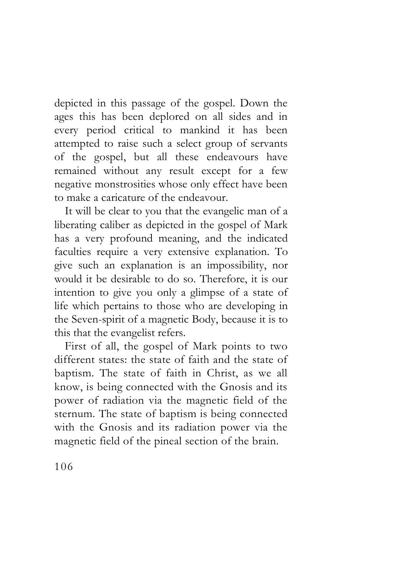depicted in this passage of the gospel. Down the ages this has been deplored on all sides and in every period critical to mankind it has been attempted to raise such a select group of servants of the gospel, but all these endeavours have remained without any result except for a few negative monstrosities whose only effect have been to make a caricature of the endeavour.

It will be clear to you that the evangelic man of a liberating caliber as depicted in the gospel of Mark has a very profound meaning, and the indicated faculties require a very extensive explanation. To give such an explanation is an impossibility, nor would it be desirable to do so. Therefore, it is our intention to give you only a glimpse of a state of life which pertains to those who are developing in the Seven-spirit of a magnetic Body, because it is to this that the evangelist refers.

First of all, the gospel of Mark points to two different states: the state of faith and the state of baptism. The state of faith in Christ, as we all know, is being connected with the Gnosis and its power of radiation via the magnetic field of the sternum. The state of baptism is being connected with the Gnosis and its radiation power via the magnetic field of the pineal section of the brain.

106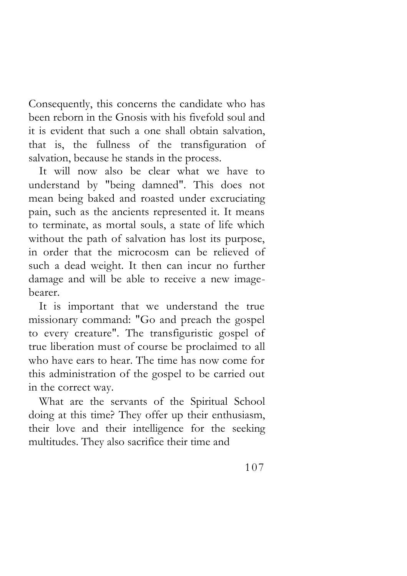Consequently, this concerns the candidate who has been reborn in the Gnosis with his fivefold soul and it is evident that such a one shall obtain salvation, that is, the fullness of the transfiguration of salvation, because he stands in the process.

It will now also be clear what we have to understand by "being damned". This does not mean being baked and roasted under excruciating pain, such as the ancients represented it. It means to terminate, as mortal souls, a state of life which without the path of salvation has lost its purpose, in order that the microcosm can be relieved of such a dead weight. It then can incur no further damage and will be able to receive a new imagebearer.

It is important that we understand the true missionary command: "Go and preach the gospel to every creature". The transfiguristic gospel of true liberation must of course be proclaimed to all who have ears to hear. The time has now come for this administration of the gospel to be carried out in the correct way.

What are the servants of the Spiritual School doing at this time? They offer up their enthusiasm, their love and their intelligence for the seeking multitudes. They also sacrifice their time and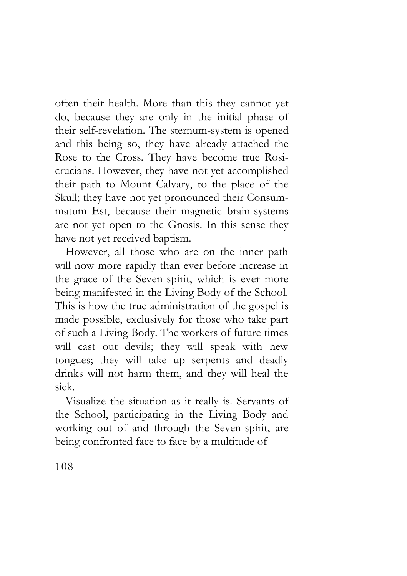often their health. More than this they cannot yet do, because they are only in the initial phase of their self-revelation. The sternum-system is opened and this being so, they have already attached the Rose to the Cross. They have become true Rosicrucians. However, they have not yet accomplished their path to Mount Calvary, to the place of the Skull; they have not yet pronounced their Consummatum Est, because their magnetic brain-systems are not yet open to the Gnosis. In this sense they have not yet received baptism.

However, all those who are on the inner path will now more rapidly than ever before increase in the grace of the Seven-spirit, which is ever more being manifested in the Living Body of the School. This is how the true administration of the gospel is made possible, exclusively for those who take part of such a Living Body. The workers of future times will cast out devils; they will speak with new tongues; they will take up serpents and deadly drinks will not harm them, and they will heal the sick.

Visualize the situation as it really is. Servants of the School, participating in the Living Body and working out of and through the Seven-spirit, are being confronted face to face by a multitude of

108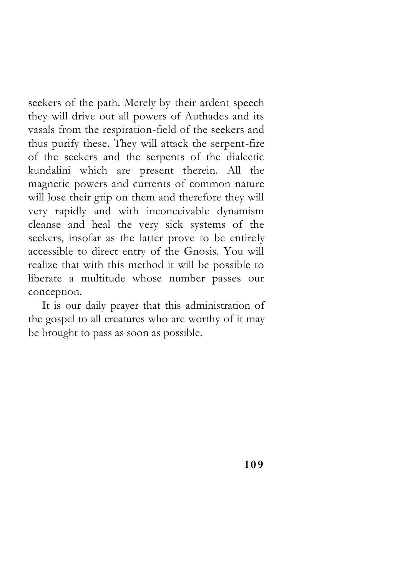seekers of the path. Merely by their ardent speech they will drive out all powers of Authades and its vasals from the respiration-field of the seekers and thus purify these. They will attack the serpent-fire of the seekers and the serpents of the dialectic kundalini which are present therein. All the magnetic powers and currents of common nature will lose their grip on them and therefore they will very rapidly and with inconceivable dynamism cleanse and heal the very sick systems of the seekers, insofar as the latter prove to be entirely accessible to direct entry of the Gnosis. You will realize that with this method it will be possible to liberate a multitude whose number passes our conception.

It is our daily prayer that this administration of the gospel to all creatures who are worthy of it may be brought to pass as soon as possible.

**1 0 9**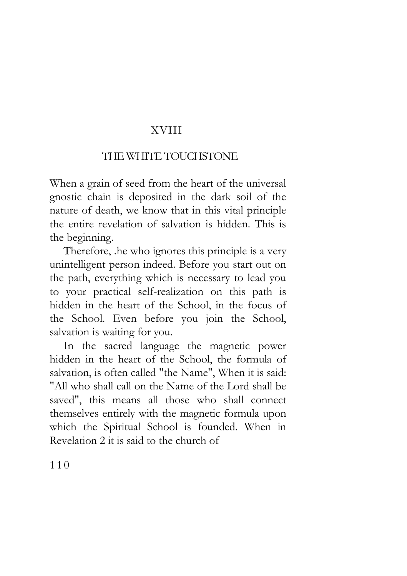## XVIII

## THE WHITE TOUCHSTONE

When a grain of seed from the heart of the universal gnostic chain is deposited in the dark soil of the nature of death, we know that in this vital principle the entire revelation of salvation is hidden. This is the beginning.

Therefore, .he who ignores this principle is a very unintelligent person indeed. Before you start out on the path, everything which is necessary to lead you to your practical self-realization on this path is hidden in the heart of the School, in the focus of the School. Even before you join the School, salvation is waiting for you.

In the sacred language the magnetic power hidden in the heart of the School, the formula of salvation, is often called "the Name", When it is said: "All who shall call on the Name of the Lord shall be saved", this means all those who shall connect themselves entirely with the magnetic formula upon which the Spiritual School is founded. When in Revelation 2 it is said to the church of

110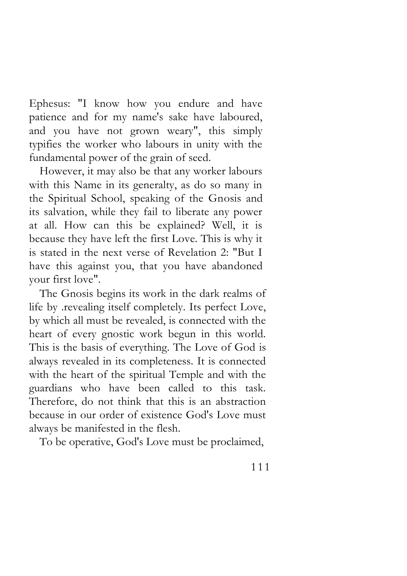Ephesus: "I know how you endure and have patience and for my name's sake have laboured, and you have not grown weary", this simply typifies the worker who labours in unity with the fundamental power of the grain of seed.

However, it may also be that any worker labours with this Name in its generalty, as do so many in the Spiritual School, speaking of the Gnosis and its salvation, while they fail to liberate any power at all. How can this be explained? Well, it is because they have left the first Love. This is why it is stated in the next verse of Revelation 2: "But I have this against you, that you have abandoned your first love".

The Gnosis begins its work in the dark realms of life by .revealing itself completely. Its perfect Love, by which all must be revealed, is connected with the heart of every gnostic work begun in this world. This is the basis of everything. The Love of God is always revealed in its completeness. It is connected with the heart of the spiritual Temple and with the guardians who have been called to this task. Therefore, do not think that this is an abstraction because in our order of existence God's Love must always be manifested in the flesh.

To be operative, God's Love must be proclaimed,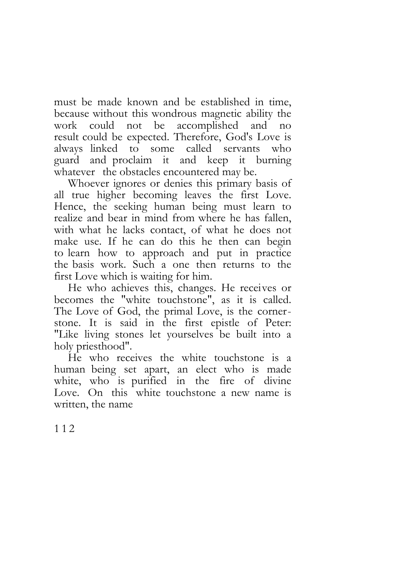must be made known and be established in time, because without this wondrous magnetic ability the work could not be accomplished and no result could be expected. Therefore, God's Love is always linked to some called servants who guard and proclaim it and keep it burning whatever the obstacles encountered may be.

Whoever ignores or denies this primary basis of all true higher becoming leaves the first Love. Hence, the seeking human being must learn to realize and bear in mind from where he has fallen, with what he lacks contact, of what he does not make use. If he can do this he then can begin to learn how to approach and put in practice the basis work. Such a one then returns to the first Love which is waiting for him.

He who achieves this, changes. He receives or becomes the "white touchstone", as it is called. The Love of God, the primal Love, is the cornerstone. It is said in the first epistle of Peter: "Like living stones let yourselves be built into a holy priesthood".

He who receives the white touchstone is a human being set apart, an elect who is made white, who is purified in the fire of divine Love. On this white touchstone a new name is written, the name

1 1 2